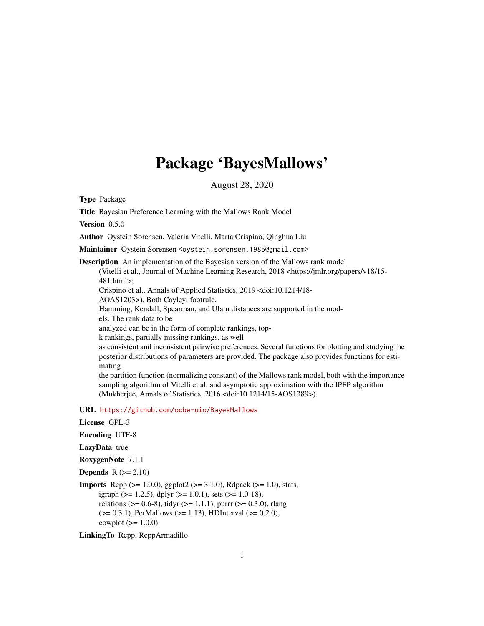# Package 'BayesMallows'

August 28, 2020

<span id="page-0-0"></span>Type Package

Title Bayesian Preference Learning with the Mallows Rank Model

Version 0.5.0

Author Oystein Sorensen, Valeria Vitelli, Marta Crispino, Qinghua Liu

Maintainer Oystein Sorensen <oystein.sorensen.1985@gmail.com>

Description An implementation of the Bayesian version of the Mallows rank model (Vitelli et al., Journal of Machine Learning Research, 2018 <https://jmlr.org/papers/v18/15- 481.html>; Crispino et al., Annals of Applied Statistics, 2019 <doi:10.1214/18- AOAS1203>). Both Cayley, footrule,

Hamming, Kendall, Spearman, and Ulam distances are supported in the mod-

els. The rank data to be

analyzed can be in the form of complete rankings, top-

k rankings, partially missing rankings, as well

as consistent and inconsistent pairwise preferences. Several functions for plotting and studying the posterior distributions of parameters are provided. The package also provides functions for estimating

the partition function (normalizing constant) of the Mallows rank model, both with the importance sampling algorithm of Vitelli et al. and asymptotic approximation with the IPFP algorithm (Mukherjee, Annals of Statistics, 2016 <doi:10.1214/15-AOS1389>).

URL <https://github.com/ocbe-uio/BayesMallows>

```
License GPL-3
```
Encoding UTF-8

LazyData true

RoxygenNote 7.1.1

**Depends**  $R$  ( $>= 2.10$ )

**Imports** Rcpp ( $>= 1.0.0$ ), ggplot2 ( $>= 3.1.0$ ), Rdpack ( $>= 1.0$ ), stats, igraph ( $> = 1.2.5$ ), dplyr ( $> = 1.0.1$ ), sets ( $> = 1.0-18$ ), relations ( $> = 0.6-8$ ), tidyr ( $> = 1.1.1$ ), purrr ( $> = 0.3.0$ ), rlang  $(>= 0.3.1)$ , PerMallows  $(>= 1.13)$ , HDInterval  $(>= 0.2.0)$ , cowplot  $(>= 1.0.0)$ 

LinkingTo Rcpp, RcppArmadillo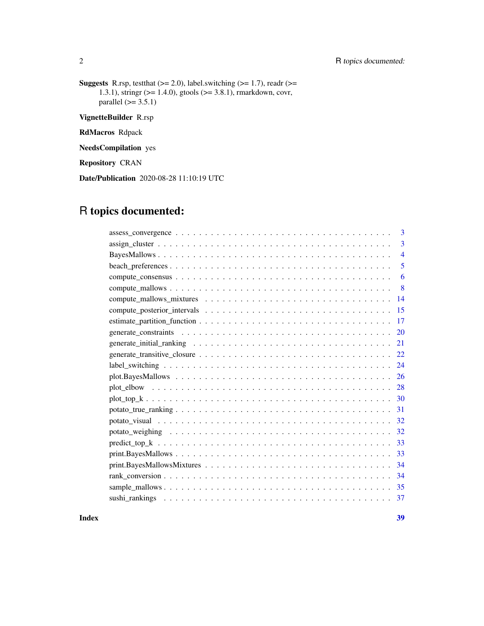### 2 R topics documented:

**Suggests** R.rsp, test that  $(>= 2.0)$ , label.switching  $(>= 1.7)$ , readr  $(>= 1.7)$ 1.3.1), stringr (>= 1.4.0), gtools (>= 3.8.1), rmarkdown, covr, parallel  $(>= 3.5.1)$ 

VignetteBuilder R.rsp

RdMacros Rdpack

NeedsCompilation yes

Repository CRAN

Date/Publication 2020-08-28 11:10:19 UTC

## R topics documented:

| 3              |
|----------------|
| 3              |
| $\overline{4}$ |
| 5              |
| 6              |
| 8              |
| 14             |
| 15             |
| 17             |
| 20             |
| 21             |
| 22             |
| 24             |
| 26             |
| 28             |
| 30             |
| 31             |
| 32             |
| 32             |
| 33             |
| 33             |
| 34             |
| 34             |
|                |
| 37             |
|                |

**Index** [39](#page-38-0)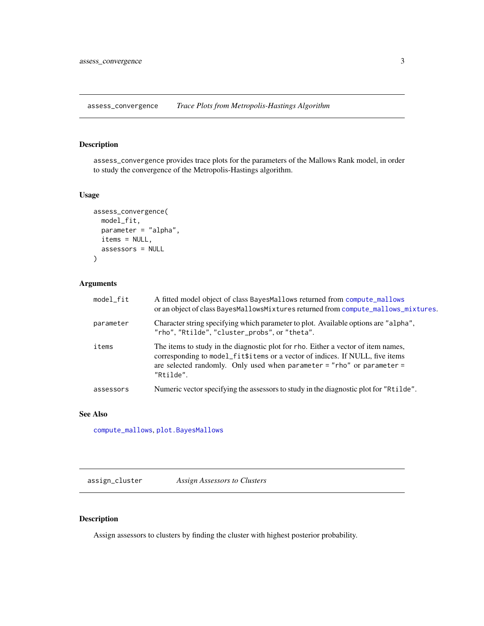<span id="page-2-1"></span><span id="page-2-0"></span>assess\_convergence *Trace Plots from Metropolis-Hastings Algorithm*

### Description

assess\_convergence provides trace plots for the parameters of the Mallows Rank model, in order to study the convergence of the Metropolis-Hastings algorithm.

### Usage

```
assess_convergence(
 model_fit,
 parameter = "alpha",
 items = NULL,
  assessors = NULL
)
```
### Arguments

| model_fit | A fitted model object of class BayesMallows returned from compute_mallows<br>or an object of class BayesMallowsMixtures returned from compute_mallows_mixtures.                                                                                           |
|-----------|-----------------------------------------------------------------------------------------------------------------------------------------------------------------------------------------------------------------------------------------------------------|
| parameter | Character string specifying which parameter to plot. Available options are "alpha",<br>"rho", "Rtilde", "cluster_probs", or "theta".                                                                                                                      |
| items     | The items to study in the diagnostic plot for rho. Either a vector of item names,<br>corresponding to model_fit\$items or a vector of indices. If NULL, five items<br>are selected randomly. Only used when parameter = "rho" or parameter =<br>"Rtilde". |
| assessors | Numeric vector specifying the assessors to study in the diagnostic plot for "Rtilde".                                                                                                                                                                     |

### See Also

[compute\\_mallows](#page-7-1), [plot.BayesMallows](#page-25-1)

assign\_cluster *Assign Assessors to Clusters*

### Description

Assign assessors to clusters by finding the cluster with highest posterior probability.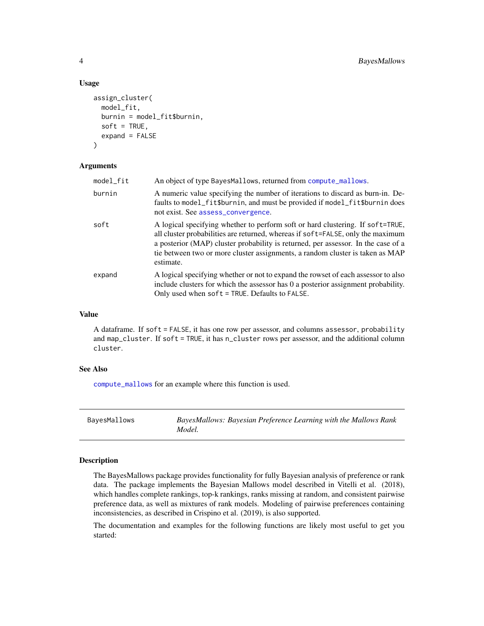#### Usage

```
assign_cluster(
  model_fit,
  burnin = model_fit$burnin,
  soft = TRUE,expand = FALSE\lambda
```
#### Arguments

| model_fit | An object of type BayesMallows, returned from compute_mallows.                                                                                                                                                                                                                                                                                       |
|-----------|------------------------------------------------------------------------------------------------------------------------------------------------------------------------------------------------------------------------------------------------------------------------------------------------------------------------------------------------------|
| burnin    | A numeric value specifying the number of iterations to discard as burn-in. De-<br>faults to model_fit\$burnin, and must be provided if model_fit\$burnin does<br>not exist. See assess_convergence.                                                                                                                                                  |
| soft      | A logical specifying whether to perform soft or hard clustering. If soft=TRUE,<br>all cluster probabilities are returned, whereas if soft=FALSE, only the maximum<br>a posterior (MAP) cluster probability is returned, per assessor. In the case of a<br>tie between two or more cluster assignments, a random cluster is taken as MAP<br>estimate. |
| expand    | A logical specifying whether or not to expand the rowset of each assessor to also<br>include clusters for which the assessor has 0 a posterior assignment probability.<br>Only used when $\text{soft} = \text{TRUE}$ . Defaults to FALSE.                                                                                                            |

#### Value

A dataframe. If soft = FALSE, it has one row per assessor, and columns assessor, probability and map\_cluster. If soft = TRUE, it has n\_cluster rows per assessor, and the additional column cluster.

#### See Also

[compute\\_mallows](#page-7-1) for an example where this function is used.

| BayesMallows | BayesMallows: Bayesian Preference Learning with the Mallows Rank |
|--------------|------------------------------------------------------------------|
|              | Model.                                                           |

### Description

The BayesMallows package provides functionality for fully Bayesian analysis of preference or rank data. The package implements the Bayesian Mallows model described in Vitelli et al. (2018), which handles complete rankings, top-k rankings, ranks missing at random, and consistent pairwise preference data, as well as mixtures of rank models. Modeling of pairwise preferences containing inconsistencies, as described in Crispino et al. (2019), is also supported.

The documentation and examples for the following functions are likely most useful to get you started:

<span id="page-3-0"></span>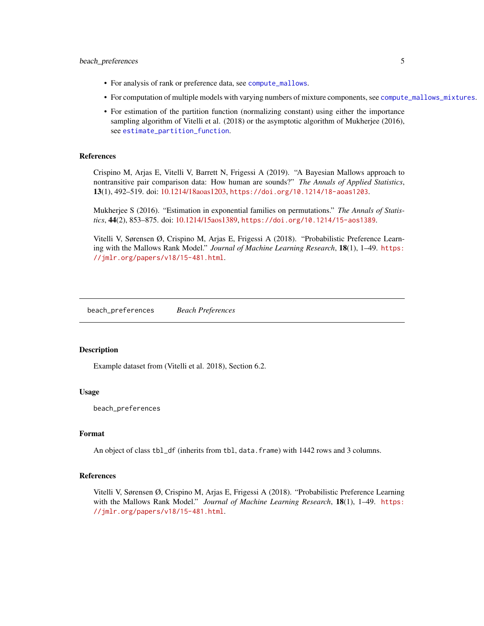#### <span id="page-4-0"></span>beach\_preferences 5

- For analysis of rank or preference data, see [compute\\_mallows](#page-7-1).
- For computation of multiple models with varying numbers of mixture components, see [compute\\_mallows\\_mixtures](#page-13-1).
- For estimation of the partition function (normalizing constant) using either the importance sampling algorithm of Vitelli et al. (2018) or the asymptotic algorithm of Mukherjee (2016), see [estimate\\_partition\\_function](#page-16-1).

#### References

Crispino M, Arjas E, Vitelli V, Barrett N, Frigessi A (2019). "A Bayesian Mallows approach to nontransitive pair comparison data: How human are sounds?" *The Annals of Applied Statistics*, 13(1), 492–519. doi: [10.1214/18aoas1203,](https://doi.org/10.1214/18-aoas1203) <https://doi.org/10.1214/18-aoas1203>.

Mukherjee S (2016). "Estimation in exponential families on permutations." *The Annals of Statistics*, 44(2), 853–875. doi: [10.1214/15aos1389,](https://doi.org/10.1214/15-aos1389) <https://doi.org/10.1214/15-aos1389>.

Vitelli V, Sørensen Ø, Crispino M, Arjas E, Frigessi A (2018). "Probabilistic Preference Learning with the Mallows Rank Model." *Journal of Machine Learning Research*, 18(1), 1–49. [https:](https://jmlr.org/papers/v18/15-481.html) [//jmlr.org/papers/v18/15-481.html](https://jmlr.org/papers/v18/15-481.html).

beach\_preferences *Beach Preferences*

#### Description

Example dataset from (Vitelli et al. 2018), Section 6.2.

#### Usage

beach\_preferences

#### Format

An object of class tbl\_df (inherits from tbl, data.frame) with 1442 rows and 3 columns.

#### References

Vitelli V, Sørensen Ø, Crispino M, Arjas E, Frigessi A (2018). "Probabilistic Preference Learning with the Mallows Rank Model." *Journal of Machine Learning Research*, 18(1), 1–49. [https:](https://jmlr.org/papers/v18/15-481.html) [//jmlr.org/papers/v18/15-481.html](https://jmlr.org/papers/v18/15-481.html).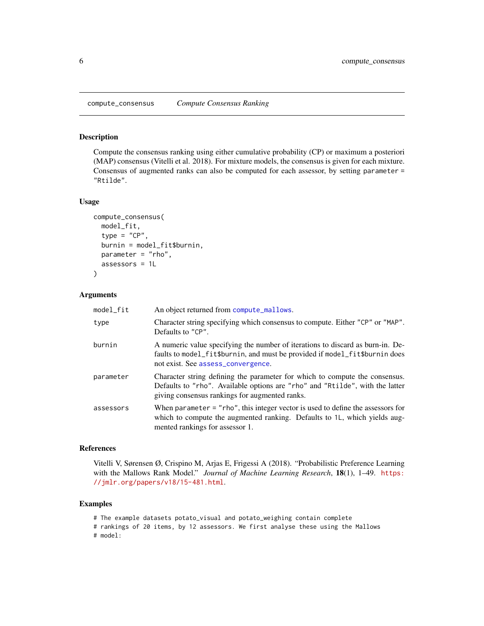<span id="page-5-0"></span>

#### Description

Compute the consensus ranking using either cumulative probability (CP) or maximum a posteriori (MAP) consensus (Vitelli et al. 2018). For mixture models, the consensus is given for each mixture. Consensus of augmented ranks can also be computed for each assessor, by setting parameter = "Rtilde".

#### Usage

```
compute_consensus(
  model_fit,
  type = "CP",
  burnin = model_fit$burnin,
 parameter = "rho",
  assessors = 1L
)
```
#### Arguments

| model_fit | An object returned from compute_mallows.                                                                                                                                                                      |
|-----------|---------------------------------------------------------------------------------------------------------------------------------------------------------------------------------------------------------------|
| type      | Character string specifying which consensus to compute. Either "CP" or "MAP".<br>Defaults to "CP".                                                                                                            |
| burnin    | A numeric value specifying the number of iterations to discard as burn-in. De-<br>faults to model_fit\$burnin, and must be provided if model_fit\$burnin does<br>not exist. See assess_convergence.           |
| parameter | Character string defining the parameter for which to compute the consensus.<br>Defaults to "rho". Available options are "rho" and "Rtilde", with the latter<br>giving consensus rankings for augmented ranks. |
| assessors | When parameter $=$ "rho", this integer vector is used to define the assessors for<br>which to compute the augmented ranking. Defaults to 1L, which yields aug-<br>mented rankings for assessor 1.             |

#### References

Vitelli V, Sørensen Ø, Crispino M, Arjas E, Frigessi A (2018). "Probabilistic Preference Learning with the Mallows Rank Model." *Journal of Machine Learning Research*, 18(1), 1–49. [https:](https://jmlr.org/papers/v18/15-481.html) [//jmlr.org/papers/v18/15-481.html](https://jmlr.org/papers/v18/15-481.html).

#### Examples

# The example datasets potato\_visual and potato\_weighing contain complete # rankings of 20 items, by 12 assessors. We first analyse these using the Mallows # model: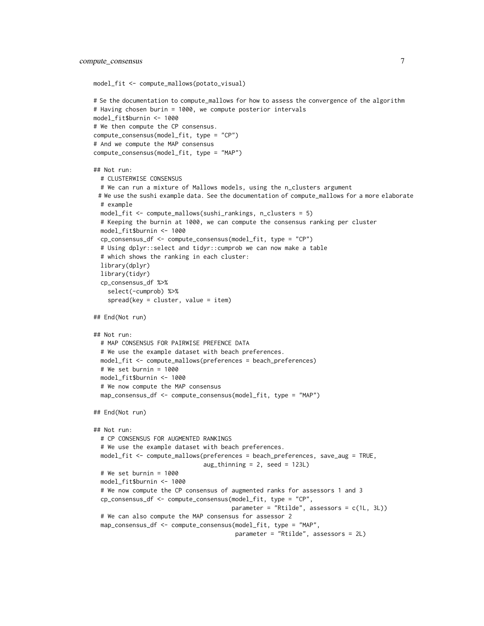```
model_fit <- compute_mallows(potato_visual)
```

```
# Se the documentation to compute_mallows for how to assess the convergence of the algorithm
# Having chosen burin = 1000, we compute posterior intervals
model_fit$burnin <- 1000
# We then compute the CP consensus.
compute_consensus(model_fit, type = "CP")
# And we compute the MAP consensus
compute_consensus(model_fit, type = "MAP")
## Not run:
 # CLUSTERWISE CONSENSUS
 # We can run a mixture of Mallows models, using the n_clusters argument
 # We use the sushi example data. See the documentation of compute_mallows for a more elaborate
 # example
 model_fit <- compute_mallows(sushi_rankings, n_clusters = 5)
 # Keeping the burnin at 1000, we can compute the consensus ranking per cluster
 model_fit$burnin <- 1000
 cp_consensus_df <- compute_consensus(model_fit, type = "CP")
 # Using dplyr::select and tidyr::cumprob we can now make a table
 # which shows the ranking in each cluster:
 library(dplyr)
 library(tidyr)
 cp_consensus_df %>%
    select(-cumprob) %>%
    spread(key = cluster, value = item)## End(Not run)
## Not run:
 # MAP CONSENSUS FOR PAIRWISE PREFENCE DATA
 # We use the example dataset with beach preferences.
 model_fit <- compute_mallows(preferences = beach_preferences)
 # We set burnin = 1000
 model_fit$burnin <- 1000
 # We now compute the MAP consensus
 map_consensus_df <- compute_consensus(model_fit, type = "MAP")
## End(Not run)
## Not run:
 # CP CONSENSUS FOR AUGMENTED RANKINGS
 # We use the example dataset with beach preferences.
 model_fit <- compute_mallows(preferences = beach_preferences, save_aug = TRUE,
                               aug_thinning = 2, seed = 123L)
 # We set burnin = 1000
 model_fit$burnin <- 1000
 # We now compute the CP consensus of augmented ranks for assessors 1 and 3
 cp_consensus_df <- compute_consensus(model_fit, type = "CP",
                                       parameter = "Rtilde", assessors = c(1L, 3L))
 # We can also compute the MAP consensus for assessor 2
 map_consensus_df <- compute_consensus(model_fit, type = "MAP",
                                        parameter = "Rtilde", assessors = 2L)
```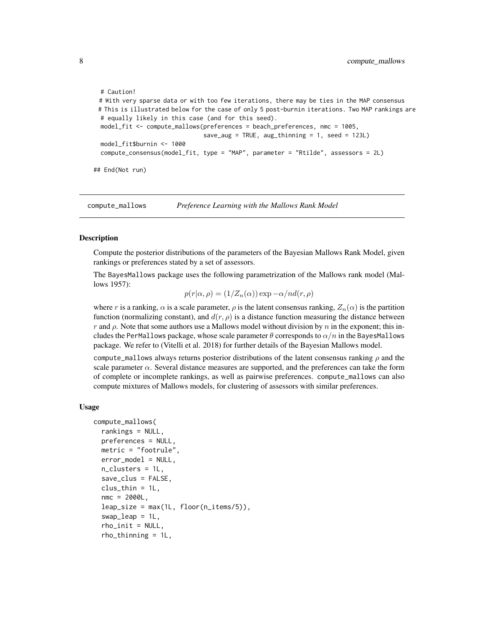```
# Caution!
# With very sparse data or with too few iterations, there may be ties in the MAP consensus
# This is illustrated below for the case of only 5 post-burnin iterations. Two MAP rankings are
# equally likely in this case (and for this seed).
model_fit <- compute_mallows(preferences = beach_preferences, nmc = 1005,
                              save_aug = TRUE, aug_thinning = 1, seed = 123L)
model_fit$burnin <- 1000
compute_consensus(model_fit, type = "MAP", parameter = "Rtilde", assessors = 2L)
```
## End(Not run)

<span id="page-7-1"></span>compute\_mallows *Preference Learning with the Mallows Rank Model*

#### **Description**

Compute the posterior distributions of the parameters of the Bayesian Mallows Rank Model, given rankings or preferences stated by a set of assessors.

The BayesMallows package uses the following parametrization of the Mallows rank model (Mallows 1957):

 $p(r|\alpha, \rho) = (1/Z_n(\alpha)) \exp(-\alpha/nd(r, \rho))$ 

where r is a ranking,  $\alpha$  is a scale parameter,  $\rho$  is the latent consensus ranking,  $Z_n(\alpha)$  is the partition function (normalizing constant), and  $d(r, \rho)$  is a distance function measuring the distance between r and  $\rho$ . Note that some authors use a Mallows model without division by n in the exponent; this includes the PerMallows package, whose scale parameter  $\theta$  corresponds to  $\alpha/n$  in the BayesMallows package. We refer to (Vitelli et al. 2018) for further details of the Bayesian Mallows model.

compute\_mallows always returns posterior distributions of the latent consensus ranking  $\rho$  and the scale parameter  $\alpha$ . Several distance measures are supported, and the preferences can take the form of complete or incomplete rankings, as well as pairwise preferences. compute\_mallows can also compute mixtures of Mallows models, for clustering of assessors with similar preferences.

#### Usage

```
compute_mallows(
  rankings = NULL,
 preferences = NULL,
 metric = "footrule",
  error_model = NULL,
  n_clusters = 1L,
  save_clus = FALSE,
  clus_{thin} = 1L,
  nmc = 2000L,
  leap\_size = max(1L, floor(n\_items/5)),swap = 1L,
  rho_init = NULL,
  rho_thinning = 1L,
```
<span id="page-7-0"></span>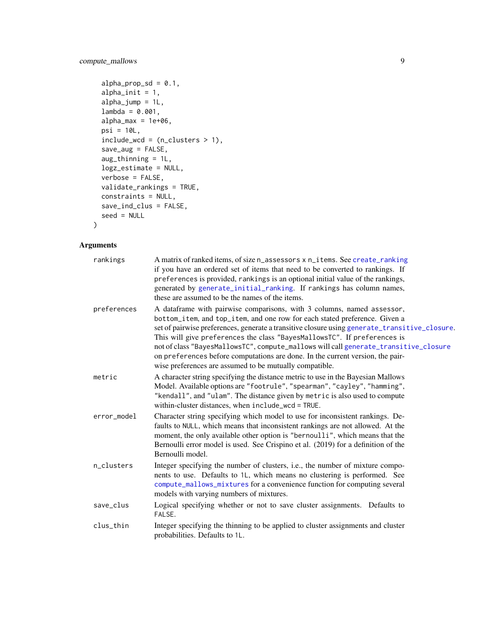### <span id="page-8-0"></span>compute\_mallows 9

```
alpha_prop_sd = 0.1,
alpha\_init = 1,
alpha_jump = 1L,
lambda = 0.001,alpha_{max} = 1e+06,
psi = 10L,
include_wcd = (n_clusters > 1),save_aug = FALSE,
aug_thinning = 1L,
logz_estimate = NULL,
verbose = FALSE,
validate_rankings = TRUE,
constraints = NULL,
save_ind_clus = FALSE,
seed = NULL
```
### $\mathcal{L}$

### Arguments

| rankings    | A matrix of ranked items, of size n_assessors x n_items. See create_ranking<br>if you have an ordered set of items that need to be converted to rankings. If<br>preferences is provided, rankings is an optional initial value of the rankings,<br>generated by generate_initial_ranking. If rankings has column names,<br>these are assumed to be the names of the items.                                                                                                                                                                                             |
|-------------|------------------------------------------------------------------------------------------------------------------------------------------------------------------------------------------------------------------------------------------------------------------------------------------------------------------------------------------------------------------------------------------------------------------------------------------------------------------------------------------------------------------------------------------------------------------------|
| preferences | A dataframe with pairwise comparisons, with 3 columns, named assessor,<br>bottom_item, and top_item, and one row for each stated preference. Given a<br>set of pairwise preferences, generate a transitive closure using generate_transitive_closure.<br>This will give preferences the class "BayesMallowsTC". If preferences is<br>not of class "BayesMallowsTC", compute_mallows will call generate_transitive_closure<br>on preferences before computations are done. In the current version, the pair-<br>wise preferences are assumed to be mutually compatible. |
| metric      | A character string specifying the distance metric to use in the Bayesian Mallows<br>Model. Available options are "footrule", "spearman", "cayley", "hamming",<br>"kendall", and "ulam". The distance given by metric is also used to compute<br>within-cluster distances, when include_wcd = TRUE.                                                                                                                                                                                                                                                                     |
| error_model | Character string specifying which model to use for inconsistent rankings. De-<br>faults to NULL, which means that inconsistent rankings are not allowed. At the<br>moment, the only available other option is "bernoulli", which means that the<br>Bernoulli error model is used. See Crispino et al. (2019) for a definition of the<br>Bernoulli model.                                                                                                                                                                                                               |
| n_clusters  | Integer specifying the number of clusters, i.e., the number of mixture compo-<br>nents to use. Defaults to 1L, which means no clustering is performed. See<br>compute_mallows_mixtures for a convenience function for computing several<br>models with varying numbers of mixtures.                                                                                                                                                                                                                                                                                    |
| save_clus   | Logical specifying whether or not to save cluster assignments. Defaults to<br>FALSE.                                                                                                                                                                                                                                                                                                                                                                                                                                                                                   |
| clus_thin   | Integer specifying the thinning to be applied to cluster assignments and cluster<br>probabilities. Defaults to 1L.                                                                                                                                                                                                                                                                                                                                                                                                                                                     |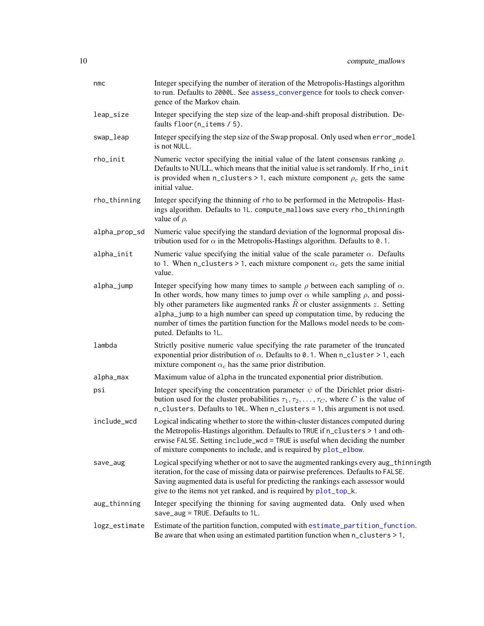<span id="page-9-0"></span>

| nmc           | Integer specifying the number of iteration of the Metropolis-Hastings algorithm<br>to run. Defaults to 2000L. See assess_convergence for tools to check conver-<br>gence of the Markov chain.                                                                                                                                                                                                                                                                          |
|---------------|------------------------------------------------------------------------------------------------------------------------------------------------------------------------------------------------------------------------------------------------------------------------------------------------------------------------------------------------------------------------------------------------------------------------------------------------------------------------|
| leap_size     | Integer specifying the step size of the leap-and-shift proposal distribution. De-<br>faults $floor(n_i$ tems $/5)$ .                                                                                                                                                                                                                                                                                                                                                   |
| swap_leap     | Integer specifying the step size of the Swap proposal. Only used when error_model<br>is not NULL.                                                                                                                                                                                                                                                                                                                                                                      |
| rho_init      | Numeric vector specifying the initial value of the latent consensus ranking $\rho$ .<br>Defaults to NULL, which means that the initial value is set randomly. If rho_init<br>is provided when n_clusters > 1, each mixture component $\rho_c$ gets the same<br>initial value.                                                                                                                                                                                          |
| rho_thinning  | Integer specifying the thinning of rho to be performed in the Metropolis-Hast-<br>ings algorithm. Defaults to 1L. compute_mallows save every rho_thinningth<br>value of $\rho$ .                                                                                                                                                                                                                                                                                       |
| alpha_prop_sd | Numeric value specifying the standard deviation of the lognormal proposal dis-<br>tribution used for $\alpha$ in the Metropolis-Hastings algorithm. Defaults to 0.1.                                                                                                                                                                                                                                                                                                   |
| alpha_init    | Numeric value specifying the initial value of the scale parameter $\alpha$ . Defaults<br>to 1. When n_clusters > 1, each mixture component $\alpha_c$ gets the same initial<br>value.                                                                                                                                                                                                                                                                                  |
| alpha_jump    | Integer specifying how many times to sample $\rho$ between each sampling of $\alpha$ .<br>In other words, how many times to jump over $\alpha$ while sampling $\rho$ , and possi-<br>bly other parameters like augmented ranks $\hat{R}$ or cluster assignments $z$ . Setting<br>alpha_jump to a high number can speed up computation time, by reducing the<br>number of times the partition function for the Mallows model needs to be com-<br>puted. Defaults to 1L. |
| lambda        | Strictly positive numeric value specifying the rate parameter of the truncated<br>exponential prior distribution of $\alpha$ . Defaults to 0.1. When n_cluster > 1, each<br>mixture component $\alpha_c$ has the same prior distribution.                                                                                                                                                                                                                              |
| alpha_max     | Maximum value of alpha in the truncated exponential prior distribution.                                                                                                                                                                                                                                                                                                                                                                                                |
| psi           | Integer specifying the concentration parameter $\psi$ of the Dirichlet prior distri-<br>bution used for the cluster probabilities $\tau_1, \tau_2, \ldots, \tau_C$ , where C is the value of<br>n_clusters. Defaults to 10L. When n_clusters = 1, this argument is not used.                                                                                                                                                                                           |
| include_wcd   | Logical indicating whether to store the within-cluster distances computed during<br>the Metropolis-Hastings algorithm. Defaults to TRUE if n_clusters > 1 and oth-<br>erwise FALSE. Setting include_wcd = TRUE is useful when deciding the number<br>of mixture components to include, and is required by plot_elbow.                                                                                                                                                  |
| save_aug      | Logical specifying whether or not to save the augmented rankings every aug_thinningth<br>iteration, for the case of missing data or pairwise preferences. Defaults to FALSE.<br>Saving augmented data is useful for predicting the rankings each assessor would<br>give to the items not yet ranked, and is required by plot_top_k.                                                                                                                                    |
| aug_thinning  | Integer specifying the thinning for saving augmented data. Only used when<br>save_aug = TRUE. Defaults to 1L.                                                                                                                                                                                                                                                                                                                                                          |
| logz_estimate | Estimate of the partition function, computed with estimate_partition_function.<br>Be aware that when using an estimated partition function when $n_{\text{1}}$ clusters > 1,                                                                                                                                                                                                                                                                                           |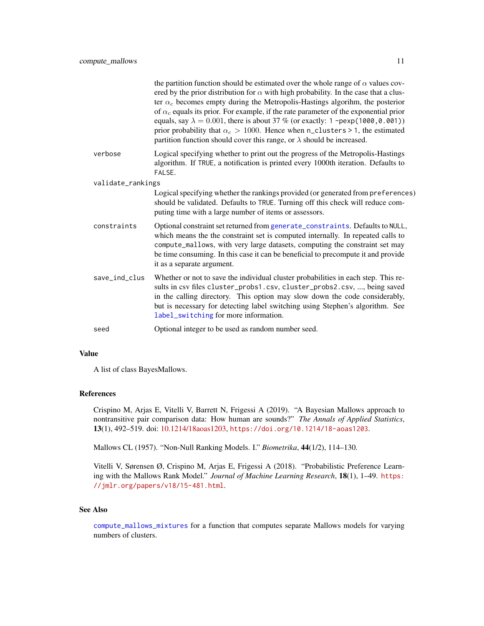<span id="page-10-0"></span>

|                   | the partition function should be estimated over the whole range of $\alpha$ values cov-<br>ered by the prior distribution for $\alpha$ with high probability. In the case that a clus-<br>ter $\alpha_c$ becomes empty during the Metropolis-Hastings algorihm, the posterior                                                                                          |
|-------------------|------------------------------------------------------------------------------------------------------------------------------------------------------------------------------------------------------------------------------------------------------------------------------------------------------------------------------------------------------------------------|
|                   | of $\alpha_c$ equals its prior. For example, if the rate parameter of the exponential prior<br>equals, say $\lambda = 0.001$ , there is about 37 % (or exactly: 1 -pexp(1000, 0.001))<br>prior probability that $\alpha_c > 1000$ . Hence when n_clusters > 1, the estimated<br>partition function should cover this range, or $\lambda$ should be increased.          |
| verbose           | Logical specifying whether to print out the progress of the Metropolis-Hastings<br>algorithm. If TRUE, a notification is printed every 1000th iteration. Defaults to<br>FALSE.                                                                                                                                                                                         |
| validate_rankings |                                                                                                                                                                                                                                                                                                                                                                        |
|                   | Logical specifying whether the rankings provided (or generated from preferences)<br>should be validated. Defaults to TRUE. Turning off this check will reduce com-<br>puting time with a large number of items or assessors.                                                                                                                                           |
| constraints       | Optional constraint set returned from generate_constraints. Defaults to NULL,<br>which means the the constraint set is computed internally. In repeated calls to<br>compute_mallows, with very large datasets, computing the constraint set may<br>be time consuming. In this case it can be beneficial to precompute it and provide<br>it as a separate argument.     |
| save_ind_clus     | Whether or not to save the individual cluster probabilities in each step. This re-<br>sults in csv files cluster_probs1.csv, cluster_probs2.csv, , being saved<br>in the calling directory. This option may slow down the code considerably,<br>but is necessary for detecting label switching using Stephen's algorithm. See<br>label_switching for more information. |
| seed              | Optional integer to be used as random number seed.                                                                                                                                                                                                                                                                                                                     |

#### Value

A list of class BayesMallows.

#### References

Crispino M, Arjas E, Vitelli V, Barrett N, Frigessi A (2019). "A Bayesian Mallows approach to nontransitive pair comparison data: How human are sounds?" *The Annals of Applied Statistics*, 13(1), 492–519. doi: [10.1214/18aoas1203,](https://doi.org/10.1214/18-aoas1203) <https://doi.org/10.1214/18-aoas1203>.

Mallows CL (1957). "Non-Null Ranking Models. I." *Biometrika*, 44(1/2), 114–130.

Vitelli V, Sørensen Ø, Crispino M, Arjas E, Frigessi A (2018). "Probabilistic Preference Learning with the Mallows Rank Model." *Journal of Machine Learning Research*, 18(1), 1–49. [https:](https://jmlr.org/papers/v18/15-481.html) [//jmlr.org/papers/v18/15-481.html](https://jmlr.org/papers/v18/15-481.html).

### See Also

[compute\\_mallows\\_mixtures](#page-13-1) for a function that computes separate Mallows models for varying numbers of clusters.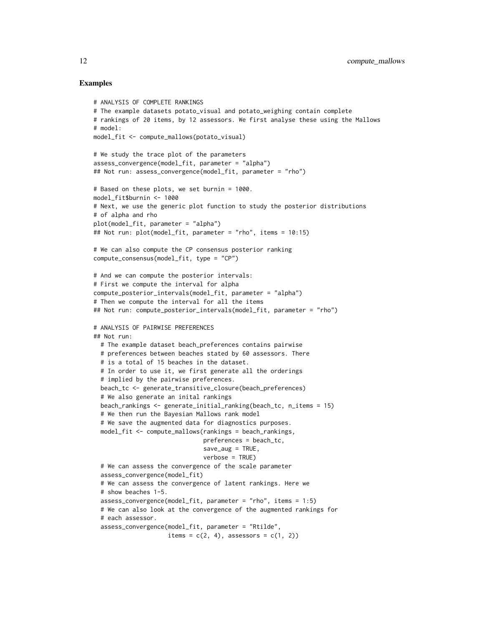```
# ANALYSIS OF COMPLETE RANKINGS
# The example datasets potato_visual and potato_weighing contain complete
# rankings of 20 items, by 12 assessors. We first analyse these using the Mallows
# model:
model_fit <- compute_mallows(potato_visual)
# We study the trace plot of the parameters
assess_convergence(model_fit, parameter = "alpha")
## Not run: assess_convergence(model_fit, parameter = "rho")
# Based on these plots, we set burnin = 1000.
model_fit$burnin <- 1000
# Next, we use the generic plot function to study the posterior distributions
# of alpha and rho
plot(model_fit, parameter = "alpha")
## Not run: plot(model_fit, parameter = "rho", items = 10:15)
# We can also compute the CP consensus posterior ranking
compute_consensus(model_fit, type = "CP")
# And we can compute the posterior intervals:
# First we compute the interval for alpha
compute_posterior_intervals(model_fit, parameter = "alpha")
# Then we compute the interval for all the items
## Not run: compute_posterior_intervals(model_fit, parameter = "rho")
# ANALYSIS OF PAIRWISE PREFERENCES
## Not run:
 # The example dataset beach_preferences contains pairwise
 # preferences between beaches stated by 60 assessors. There
 # is a total of 15 beaches in the dataset.
 # In order to use it, we first generate all the orderings
 # implied by the pairwise preferences.
 beach_tc <- generate_transitive_closure(beach_preferences)
 # We also generate an inital rankings
 beach_rankings <- generate_initial_ranking(beach_tc, n_items = 15)
 # We then run the Bayesian Mallows rank model
 # We save the augmented data for diagnostics purposes.
 model_fit <- compute_mallows(rankings = beach_rankings,
                               preferences = beach_tc,
                               save_aug = TRUE,verbose = TRUE)
 # We can assess the convergence of the scale parameter
 assess_convergence(model_fit)
 # We can assess the convergence of latent rankings. Here we
 # show beaches 1-5.
 assess_convergence(model_fit, parameter = "rho", items = 1:5)
 # We can also look at the convergence of the augmented rankings for
 # each assessor.
 assess_convergence(model_fit, parameter = "Rtilde",
                     items = c(2, 4), assessors = c(1, 2))
```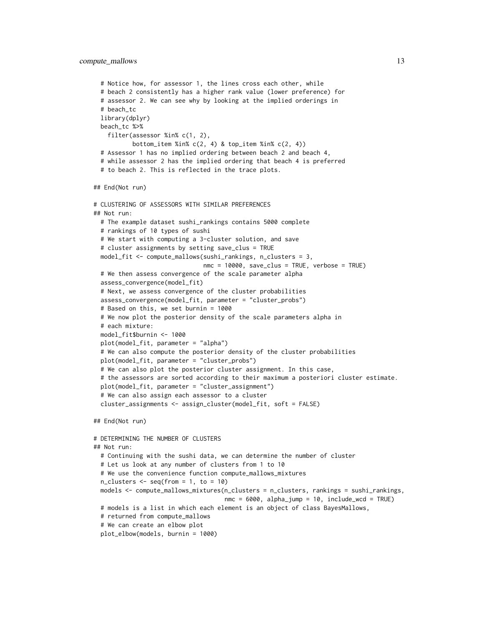```
# Notice how, for assessor 1, the lines cross each other, while
 # beach 2 consistently has a higher rank value (lower preference) for
 # assessor 2. We can see why by looking at the implied orderings in
 # beach_tc
 library(dplyr)
 beach_tc %>%
   filter(assessor %in% c(1, 2),
          bottom_item %in% c(2, 4) & top_item %in% c(2, 4))
 # Assessor 1 has no implied ordering between beach 2 and beach 4,
 # while assessor 2 has the implied ordering that beach 4 is preferred
 # to beach 2. This is reflected in the trace plots.
## End(Not run)
# CLUSTERING OF ASSESSORS WITH SIMILAR PREFERENCES
## Not run:
 # The example dataset sushi_rankings contains 5000 complete
 # rankings of 10 types of sushi
 # We start with computing a 3-cluster solution, and save
 # cluster assignments by setting save_clus = TRUE
 model_fit <- compute_mallows(sushi_rankings, n_clusters = 3,
                               nmc = 10000, save_clus = TRUE, verbose = TRUE)
 # We then assess convergence of the scale parameter alpha
 assess_convergence(model_fit)
 # Next, we assess convergence of the cluster probabilities
 assess_convergence(model_fit, parameter = "cluster_probs")
 # Based on this, we set burnin = 1000
 # We now plot the posterior density of the scale parameters alpha in
 # each mixture:
 model_fit$burnin <- 1000
 plot(model_fit, parameter = "alpha")
 # We can also compute the posterior density of the cluster probabilities
 plot(model_fit, parameter = "cluster_probs")
 # We can also plot the posterior cluster assignment. In this case,
 # the assessors are sorted according to their maximum a posteriori cluster estimate.
 plot(model_fit, parameter = "cluster_assignment")
 # We can also assign each assessor to a cluster
 cluster_assignments <- assign_cluster(model_fit, soft = FALSE)
## End(Not run)
# DETERMINING THE NUMBER OF CLUSTERS
## Not run:
 # Continuing with the sushi data, we can determine the number of cluster
 # Let us look at any number of clusters from 1 to 10
 # We use the convenience function compute_mallows_mixtures
 n_{\text{clusters}} \leftarrow \text{seq}(\text{from} = 1, \text{to} = 10)models <- compute_mallows_mixtures(n_clusters = n_clusters, rankings = sushi_rankings,
                                     nmc = 6000, alpha_jump = 10, include_wcd = TRUE)
 # models is a list in which each element is an object of class BayesMallows,
 # returned from compute_mallows
 # We can create an elbow plot
 plot_elbow(models, burnin = 1000)
```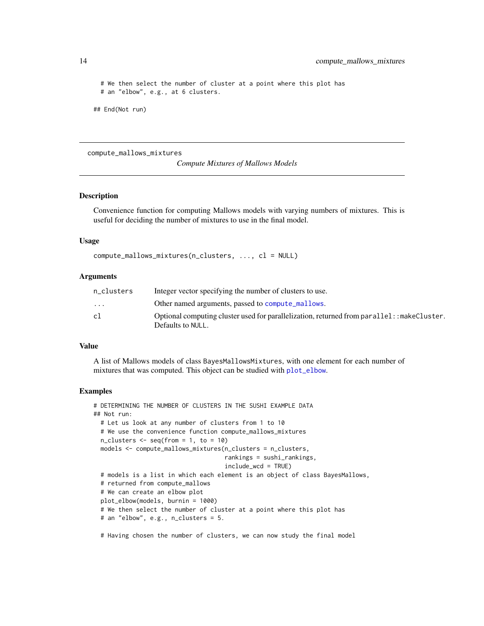# We then select the number of cluster at a point where this plot has # an "elbow", e.g., at 6 clusters.

## End(Not run)

<span id="page-13-1"></span>compute\_mallows\_mixtures

*Compute Mixtures of Mallows Models*

### Description

Convenience function for computing Mallows models with varying numbers of mixtures. This is useful for deciding the number of mixtures to use in the final model.

#### Usage

```
compute_mallows_mixtures(n_clusters, ..., cl = NULL)
```
#### Arguments

| n clusters              | Integer vector specifying the number of clusters to use.                                    |
|-------------------------|---------------------------------------------------------------------------------------------|
| $\cdot$ $\cdot$ $\cdot$ | Other named arguments, passed to compute_mallows.                                           |
| cl                      | Optional computing cluster used for parallelization, returned from parallel: : makeCluster. |
|                         | Defaults to NULL.                                                                           |

#### Value

A list of Mallows models of class BayesMallowsMixtures, with one element for each number of mixtures that was computed. This object can be studied with [plot\\_elbow](#page-27-1).

```
# DETERMINING THE NUMBER OF CLUSTERS IN THE SUSHI EXAMPLE DATA
## Not run:
 # Let us look at any number of clusters from 1 to 10
 # We use the convenience function compute_mallows_mixtures
 n_{\text{clusters}} \leftarrow \text{seq}(\text{from} = 1, \text{to} = 10)models <- compute_mallows_mixtures(n_clusters = n_clusters,
                                       rankings = sushi_rankings,
                                       include_wcd = TRUE)
 # models is a list in which each element is an object of class BayesMallows,
 # returned from compute_mallows
 # We can create an elbow plot
 plot_elbow(models, burnin = 1000)
 # We then select the number of cluster at a point where this plot has
 # an "elbow", e.g., n_clusters = 5.
 # Having chosen the number of clusters, we can now study the final model
```
<span id="page-13-0"></span>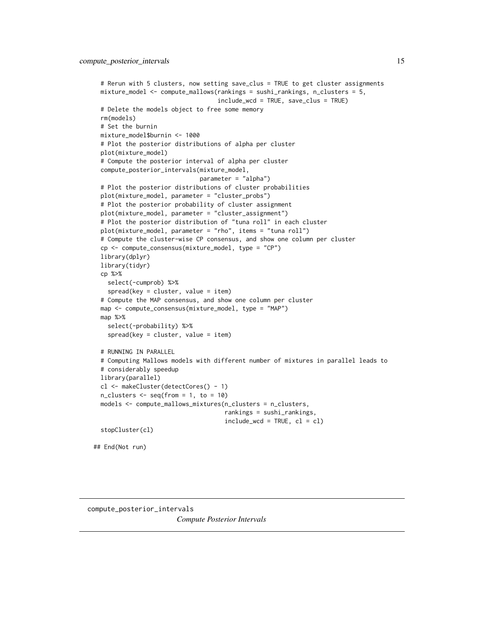```
# Rerun with 5 clusters, now setting save_clus = TRUE to get cluster assignments
 mixture_model <- compute_mallows(rankings = sushi_rankings, n_clusters = 5,
                                   include_wcd = TRUE, save_clus = TRUE)
 # Delete the models object to free some memory
 rm(models)
 # Set the burnin
 mixture_model$burnin <- 1000
 # Plot the posterior distributions of alpha per cluster
 plot(mixture_model)
 # Compute the posterior interval of alpha per cluster
 compute_posterior_intervals(mixture_model,
                              parameter = "alpha")
 # Plot the posterior distributions of cluster probabilities
 plot(mixture_model, parameter = "cluster_probs")
 # Plot the posterior probability of cluster assignment
 plot(mixture_model, parameter = "cluster_assignment")
 # Plot the posterior distribution of "tuna roll" in each cluster
 plot(mixture_model, parameter = "rho", items = "tuna roll")
 # Compute the cluster-wise CP consensus, and show one column per cluster
 cp <- compute_consensus(mixture_model, type = "CP")
 library(dplyr)
 library(tidyr)
 cp %>%
   select(-cumprob) %>%
   spread(key = cluster, value = item)# Compute the MAP consensus, and show one column per cluster
 map <- compute_consensus(mixture_model, type = "MAP")
 map %>%
   select(-probability) %>%
   spread(key = cluster, value = item)
 # RUNNING IN PARALLEL
 # Computing Mallows models with different number of mixtures in parallel leads to
 # considerably speedup
 library(parallel)
 cl <- makeCluster(detectCores() - 1)
 n_{\text{clusters}} \leftarrow \text{seq}(\text{from} = 1, \text{to} = 10)models <- compute_mallows_mixtures(n_clusters = n_clusters,
                                      rankings = sushi_rankings,
                                      include\_wcd = TRUE, cl = clstopCluster(cl)
## End(Not run)
```

```
compute_posterior_intervals
                        Compute Posterior Intervals
```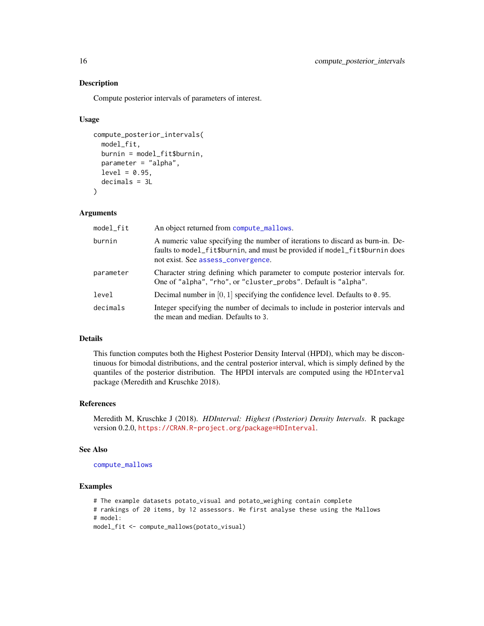#### Description

Compute posterior intervals of parameters of interest.

#### Usage

```
compute_posterior_intervals(
  model_fit,
 burnin = model_fit$burnin,
  parameter = "alpha",
  level = 0.95,decimals = 3L
)
```
### Arguments

| model_fit | An object returned from compute_mallows.                                                                                                                                                            |
|-----------|-----------------------------------------------------------------------------------------------------------------------------------------------------------------------------------------------------|
| burnin    | A numeric value specifying the number of iterations to discard as burn-in. De-<br>faults to model_fit\$burnin, and must be provided if model_fit\$burnin does<br>not exist. See assess_convergence. |
| parameter | Character string defining which parameter to compute posterior intervals for.<br>One of "alpha", "rho", or "cluster_probs". Default is "alpha".                                                     |
| level     | Decimal number in $[0, 1]$ specifying the confidence level. Defaults to 0.95.                                                                                                                       |
| decimals  | Integer specifying the number of decimals to include in posterior intervals and<br>the mean and median. Defaults to 3.                                                                              |

### Details

This function computes both the Highest Posterior Density Interval (HPDI), which may be discontinuous for bimodal distributions, and the central posterior interval, which is simply defined by the quantiles of the posterior distribution. The HPDI intervals are computed using the HDInterval package (Meredith and Kruschke 2018).

### References

Meredith M, Kruschke J (2018). *HDInterval: Highest (Posterior) Density Intervals*. R package version 0.2.0, <https://CRAN.R-project.org/package=HDInterval>.

#### See Also

[compute\\_mallows](#page-7-1)

```
# The example datasets potato_visual and potato_weighing contain complete
# rankings of 20 items, by 12 assessors. We first analyse these using the Mallows
# model:
model_fit <- compute_mallows(potato_visual)
```
<span id="page-15-0"></span>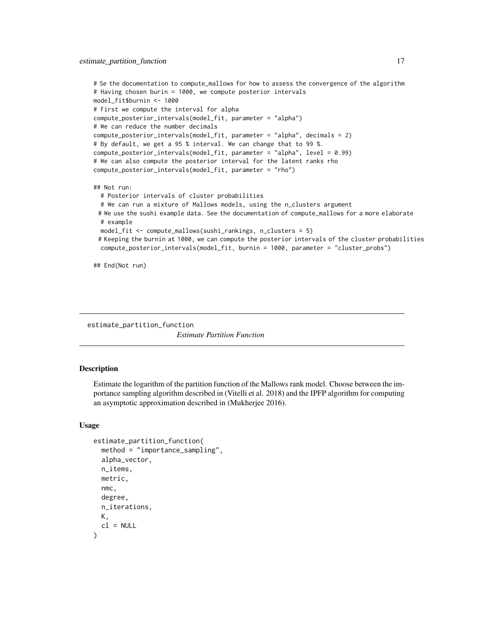```
# Se the documentation to compute_mallows for how to assess the convergence of the algorithm
# Having chosen burin = 1000, we compute posterior intervals
model_fit$burnin <- 1000
# First we compute the interval for alpha
compute_posterior_intervals(model_fit, parameter = "alpha")
# We can reduce the number decimals
compute_posterior_intervals(model_fit, parameter = "alpha", decimals = 2)
# By default, we get a 95 % interval. We can change that to 99 %.
compute_posterior_intervals(model_fit, parameter = "alpha", level = 0.99)
# We can also compute the posterior interval for the latent ranks rho
compute_posterior_intervals(model_fit, parameter = "rho")
## Not run:
 # Posterior intervals of cluster probabilities
 # We can run a mixture of Mallows models, using the n_clusters argument
 # We use the sushi example data. See the documentation of compute_mallows for a more elaborate
 # example
 model_fit <- compute_mallows(sushi_rankings, n_clusters = 5)
 # Keeping the burnin at 1000, we can compute the posterior intervals of the cluster probabilities
 compute_posterior_intervals(model_fit, burnin = 1000, parameter = "cluster_probs")
```
## End(Not run)

<span id="page-16-1"></span>estimate\_partition\_function *Estimate Partition Function*

#### Description

Estimate the logarithm of the partition function of the Mallows rank model. Choose between the importance sampling algorithm described in (Vitelli et al. 2018) and the IPFP algorithm for computing an asymptotic approximation described in (Mukherjee 2016).

#### Usage

```
estimate_partition_function(
  method = "importance_sampling",
  alpha_vector,
  n_items,
  metric,
  nmc,
  degree,
  n_iterations,
  K<sub>1</sub>cl = NULL)
```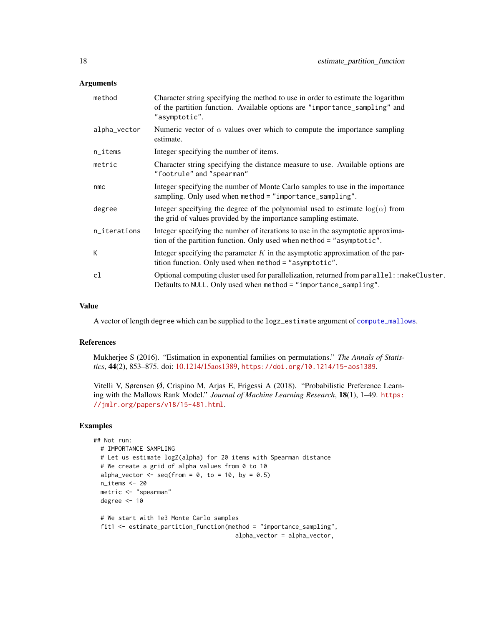#### <span id="page-17-0"></span>Arguments

| method       | Character string specifying the method to use in order to estimate the logarithm<br>of the partition function. Available options are "importance_sampling" and<br>"asymptotic". |
|--------------|---------------------------------------------------------------------------------------------------------------------------------------------------------------------------------|
| alpha_vector | Numeric vector of $\alpha$ values over which to compute the importance sampling<br>estimate.                                                                                    |
| n_items      | Integer specifying the number of items.                                                                                                                                         |
| metric       | Character string specifying the distance measure to use. Available options are<br>"footrule" and "spearman"                                                                     |
| nmc          | Integer specifying the number of Monte Carlo samples to use in the importance<br>sampling. Only used when method = "importance_sampling".                                       |
| degree       | Integer specifying the degree of the polynomial used to estimate $log(\alpha)$ from<br>the grid of values provided by the importance sampling estimate.                         |
| n_iterations | Integer specifying the number of iterations to use in the asymptotic approxima-<br>tion of the partition function. Only used when method = "asymptotic".                        |
| K            | Integer specifying the parameter $K$ in the asymptotic approximation of the par-<br>tition function. Only used when method = "asymptotic".                                      |
| cl           | Optional computing cluster used for parallelization, returned from parallel: : makeCluster.<br>Defaults to NULL. Only used when method = "importance_sampling".                 |

#### Value

A vector of length degree which can be supplied to the logz\_estimate argument of [compute\\_mallows](#page-7-1).

#### References

Mukherjee S (2016). "Estimation in exponential families on permutations." *The Annals of Statistics*, 44(2), 853–875. doi: [10.1214/15aos1389,](https://doi.org/10.1214/15-aos1389) <https://doi.org/10.1214/15-aos1389>.

Vitelli V, Sørensen Ø, Crispino M, Arjas E, Frigessi A (2018). "Probabilistic Preference Learning with the Mallows Rank Model." *Journal of Machine Learning Research*, 18(1), 1–49. [https:](https://jmlr.org/papers/v18/15-481.html) [//jmlr.org/papers/v18/15-481.html](https://jmlr.org/papers/v18/15-481.html).

```
## Not run:
 # IMPORTANCE SAMPLING
 # Let us estimate logZ(alpha) for 20 items with Spearman distance
 # We create a grid of alpha values from 0 to 10
 alpha_vector \leq seq(from = 0, to = 10, by = 0.5)
 n_items <- 20
 metric <- "spearman"
 degree <- 10
 # We start with 1e3 Monte Carlo samples
 fit1 <- estimate_partition_function(method = "importance_sampling",
                                       alpha_vector = alpha_vector,
```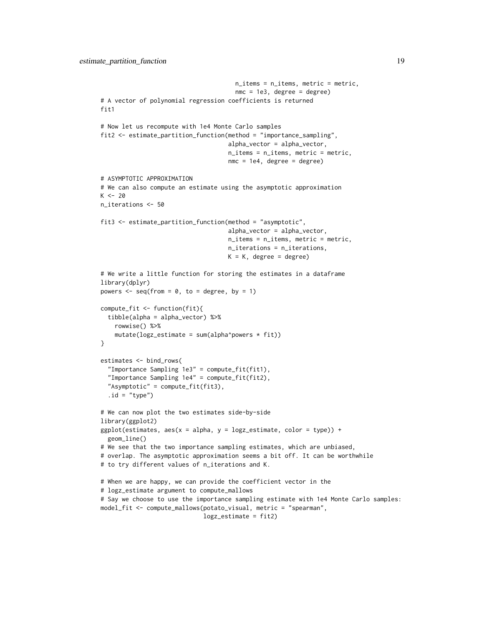```
n_items = n_items, metric = metric,
                                      nmc = 1e3, degree = degree)
# A vector of polynomial regression coefficients is returned
fit<sub>1</sub>
# Now let us recompute with 1e4 Monte Carlo samples
fit2 <- estimate_partition_function(method = "importance_sampling",
                                    alpha_vector = alpha_vector,
                                    n_items = n_items, metric = metric,
                                    nmc = 1e4, degree = degree)
# ASYMPTOTIC APPROXIMATION
# We can also compute an estimate using the asymptotic approximation
K < -20n_iterations <- 50
fit3 <- estimate_partition_function(method = "asymptotic",
                                    alpha_vector = alpha_vector,
                                    n_items = n_items, metric = metric,
                                    n_iterations = n_iterations,
                                    K = K, degree = degree)
# We write a little function for storing the estimates in a dataframe
library(dplyr)
powers \leq seq(from = 0, to = degree, by = 1)
compute_fit <- function(fit){
  tibble(alpha = alpha_vector) %>%
    rowwise() %>%
    mutate(logz_estimate = sum(alpha^power* fit))}
estimates <- bind_rows(
  "Importance Sampling 1e3" = compute_fit(fit1),
  "Importance Sampling 1e4" = compute_fit(fit2),
  "Asymptotic" = compute_fit(fit3),
  .id = "type")# We can now plot the two estimates side-by-side
library(ggplot2)
ggplot(estimates, aes(x = alpha, y = logz_estimate, color = type)) +geom_line()
# We see that the two importance sampling estimates, which are unbiased,
# overlap. The asymptotic approximation seems a bit off. It can be worthwhile
# to try different values of n_iterations and K.
# When we are happy, we can provide the coefficient vector in the
# logz_estimate argument to compute_mallows
# Say we choose to use the importance sampling estimate with 1e4 Monte Carlo samples:
model_fit <- compute_mallows(potato_visual, metric = "spearman",
                             logz_estimate = fit2)
```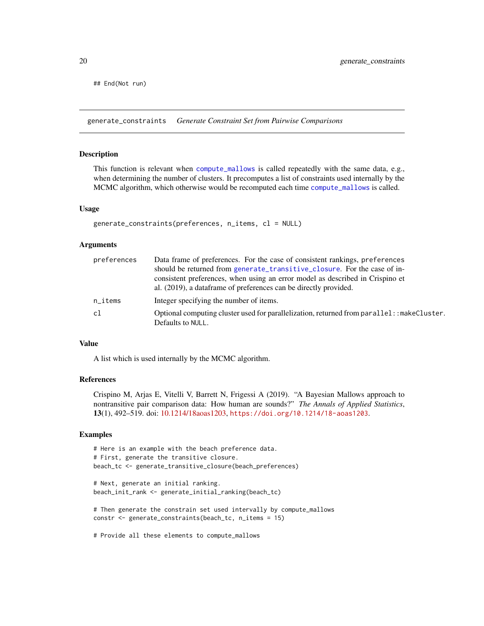<span id="page-19-0"></span>## End(Not run)

<span id="page-19-1"></span>generate\_constraints *Generate Constraint Set from Pairwise Comparisons*

#### Description

This function is relevant when [compute\\_mallows](#page-7-1) is called repeatedly with the same data, e.g., when determining the number of clusters. It precomputes a list of constraints used internally by the MCMC algorithm, which otherwise would be recomputed each time [compute\\_mallows](#page-7-1) is called.

#### Usage

```
generate_constraints(preferences, n_items, cl = NULL)
```
#### Arguments

| preferences            | Data frame of preferences. For the case of consistent rankings, preferences                                      |
|------------------------|------------------------------------------------------------------------------------------------------------------|
|                        | should be returned from generate_transitive_closure. For the case of in-                                         |
|                        | consistent preferences, when using an error model as described in Crispino et                                    |
|                        | al. (2019), a data frame of preferences can be directly provided.                                                |
| $n$ <sub>_i</sub> tems | Integer specifying the number of items.                                                                          |
| cl                     | Optional computing cluster used for parallelization, returned from parallel: : makeCluster.<br>Defaults to NULL. |
|                        |                                                                                                                  |

#### Value

A list which is used internally by the MCMC algorithm.

#### References

Crispino M, Arjas E, Vitelli V, Barrett N, Frigessi A (2019). "A Bayesian Mallows approach to nontransitive pair comparison data: How human are sounds?" *The Annals of Applied Statistics*, 13(1), 492–519. doi: [10.1214/18aoas1203,](https://doi.org/10.1214/18-aoas1203) <https://doi.org/10.1214/18-aoas1203>.

```
# Here is an example with the beach preference data.
# First, generate the transitive closure.
beach_tc <- generate_transitive_closure(beach_preferences)
# Next, generate an initial ranking.
beach_init_rank <- generate_initial_ranking(beach_tc)
# Then generate the constrain set used intervally by compute_mallows
constr <- generate_constraints(beach_tc, n_items = 15)
# Provide all these elements to compute_mallows
```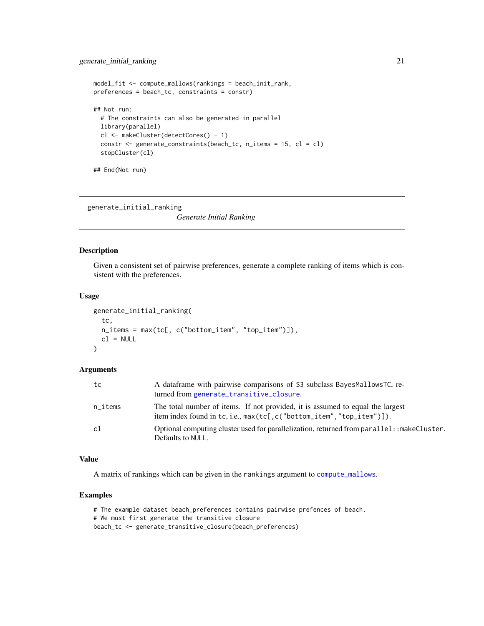```
model_fit <- compute_mallows(rankings = beach_init_rank,
preferences = beach_tc, constraints = constr)
## Not run:
  # The constraints can also be generated in parallel
  library(parallel)
  cl <- makeCluster(detectCores() - 1)
  constr <- generate_constraints(beach_tc, n_items = 15, cl = cl)
  stopCluster(cl)
## End(Not run)
```
<span id="page-20-1"></span>generate\_initial\_ranking

*Generate Initial Ranking*

#### Description

Given a consistent set of pairwise preferences, generate a complete ranking of items which is consistent with the preferences.

#### Usage

```
generate_initial_ranking(
  tc,
  n_items = max(tc[, c("bottom_item", "top_item")]),
 cl = NULL\lambda
```
### Arguments

| tc      | A dataframe with pairwise comparisons of S3 subclass BayesMallowsTC, re-<br>turned from generate_transitive_closure.                                               |
|---------|--------------------------------------------------------------------------------------------------------------------------------------------------------------------|
| n_items | The total number of items. If not provided, it is assumed to equal the largest<br>item index found in tc, i.e., $max(tc[, c('bottom_i, 'top_i, 'top_i, 'top_i])$ . |
| c1      | Optional computing cluster used for parallelization, returned from parallel: : makeCluster.<br>Defaults to NULL.                                                   |

#### Value

A matrix of rankings which can be given in the rankings argument to [compute\\_mallows](#page-7-1).

### Examples

# The example dataset beach\_preferences contains pairwise prefences of beach. # We must first generate the transitive closure beach\_tc <- generate\_transitive\_closure(beach\_preferences)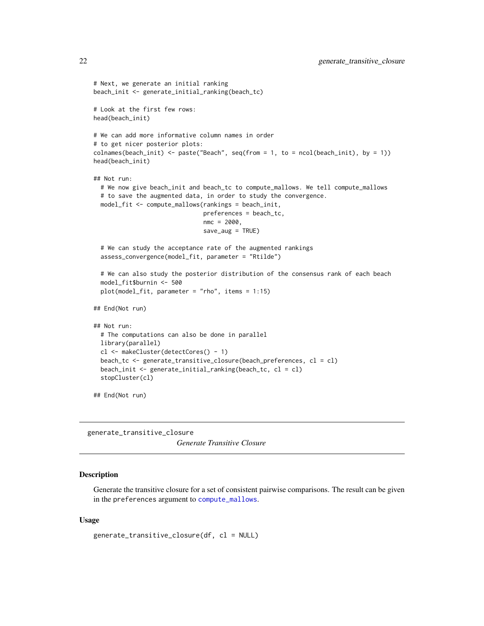```
# Next, we generate an initial ranking
beach_init <- generate_initial_ranking(beach_tc)
# Look at the first few rows:
head(beach_init)
# We can add more informative column names in order
# to get nicer posterior plots:
colnames(beach_init) <- paste("Beach", seq(from = 1, to = ncol(beach_init), by = 1))
head(beach_init)
## Not run:
 # We now give beach_init and beach_tc to compute_mallows. We tell compute_mallows
 # to save the augmented data, in order to study the convergence.
 model_fit <- compute_mallows(rankings = beach_init,
                               preferences = beach_tc,
                               nmc = 2000,
                               save_aug = TRUE)
 # We can study the acceptance rate of the augmented rankings
 assess_convergence(model_fit, parameter = "Rtilde")
 # We can also study the posterior distribution of the consensus rank of each beach
 model_fit$burnin <- 500
 plot(model_fit, parameter = "rho", items = 1:15)
## End(Not run)
## Not run:
 # The computations can also be done in parallel
 library(parallel)
 cl <- makeCluster(detectCores() - 1)
 beach_tc <- generate_transitive_closure(beach_preferences, cl = cl)
 beach_init <- generate_initial_ranking(beach_tc, cl = cl)
 stopCluster(cl)
## End(Not run)
```
<span id="page-21-1"></span>generate\_transitive\_closure *Generate Transitive Closure*

#### Description

Generate the transitive closure for a set of consistent pairwise comparisons. The result can be given in the preferences argument to [compute\\_mallows](#page-7-1).

#### Usage

```
generate_transitive_closure(df, cl = NULL)
```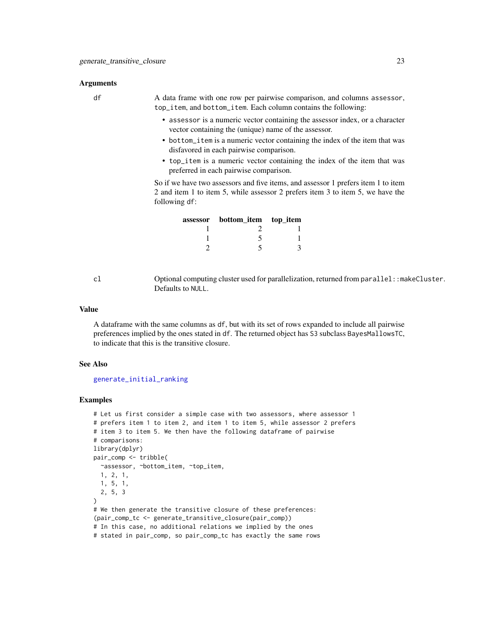#### <span id="page-22-0"></span>Arguments

df A data frame with one row per pairwise comparison, and columns assessor, top\_item, and bottom\_item. Each column contains the following:

- assessor is a numeric vector containing the assessor index, or a character vector containing the (unique) name of the assessor.
- bottom\_item is a numeric vector containing the index of the item that was disfavored in each pairwise comparison.
- top\_item is a numeric vector containing the index of the item that was preferred in each pairwise comparison.

So if we have two assessors and five items, and assessor 1 prefers item 1 to item 2 and item 1 to item 5, while assessor 2 prefers item 3 to item 5, we have the following df:

| assessor | bottom_item top_item |  |
|----------|----------------------|--|
|          |                      |  |
|          |                      |  |
|          |                      |  |

cl Optional computing cluster used for parallelization, returned from parallel::makeCluster. Defaults to NULL.

#### Value

A dataframe with the same columns as df, but with its set of rows expanded to include all pairwise preferences implied by the ones stated in df. The returned object has S3 subclass BayesMallowsTC, to indicate that this is the transitive closure.

### See Also

[generate\\_initial\\_ranking](#page-20-1)

```
# Let us first consider a simple case with two assessors, where assessor 1
# prefers item 1 to item 2, and item 1 to item 5, while assessor 2 prefers
# item 3 to item 5. We then have the following dataframe of pairwise
# comparisons:
library(dplyr)
pair_comp <- tribble(
  ~assessor, ~bottom_item, ~top_item,
  1, 2, 1,
  1, 5, 1,
  2, 5, 3
)
# We then generate the transitive closure of these preferences:
(pair_comp_tc <- generate_transitive_closure(pair_comp))
# In this case, no additional relations we implied by the ones
# stated in pair_comp, so pair_comp_tc has exactly the same rows
```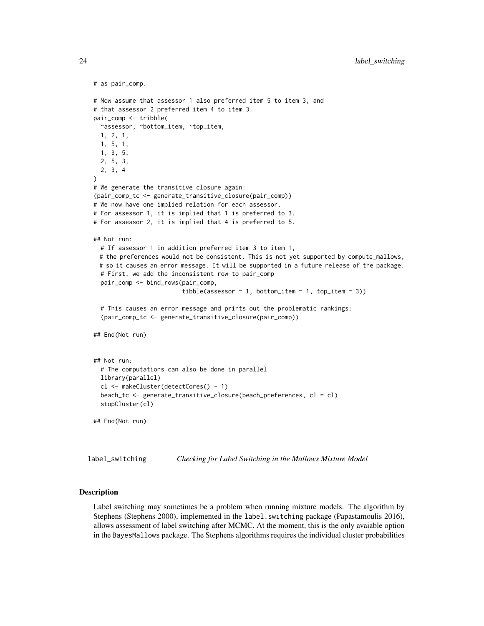```
# as pair_comp.
# Now assume that assessor 1 also preferred item 5 to item 3, and
# that assessor 2 preferred item 4 to item 3.
pair_comp <- tribble(
 ~assessor, ~bottom_item, ~top_item,
 1, 2, 1,
 1, 5, 1,
 1, 3, 5,
 2, 5, 3,
 2, 3, 4
\lambda# We generate the transitive closure again:
(pair_comp_tc <- generate_transitive_closure(pair_comp))
# We now have one implied relation for each assessor.
# For assessor 1, it is implied that 1 is preferred to 3.
# For assessor 2, it is implied that 4 is preferred to 5.
## Not run:
 # If assessor 1 in addition preferred item 3 to item 1,
 # the preferences would not be consistent. This is not yet supported by compute_mallows,
 # so it causes an error message. It will be supported in a future release of the package.
 # First, we add the inconsistent row to pair_comp
 pair_comp <- bind_rows(pair_comp,
                         tibble(assessor = 1, bottom_time = 1, top_time = 3))# This causes an error message and prints out the problematic rankings:
  (pair_comp_tc <- generate_transitive_closure(pair_comp))
## End(Not run)
## Not run:
 # The computations can also be done in parallel
 library(parallel)
 cl <- makeCluster(detectCores() - 1)
 beach_tc <- generate_transitive_closure(beach_preferences, cl = cl)
 stopCluster(cl)
## End(Not run)
```
<span id="page-23-1"></span>label\_switching *Checking for Label Switching in the Mallows Mixture Model*

#### Description

Label switching may sometimes be a problem when running mixture models. The algorithm by Stephens (Stephens 2000), implemented in the label. switching package (Papastamoulis 2016), allows assessment of label switching after MCMC. At the moment, this is the only avaiable option in the BayesMallows package. The Stephens algorithms requires the individual cluster probabilities

<span id="page-23-0"></span>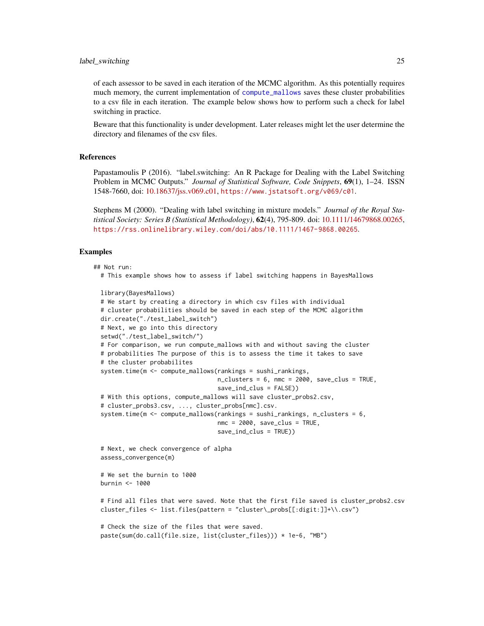#### <span id="page-24-0"></span>label\_switching 25

of each assessor to be saved in each iteration of the MCMC algorithm. As this potentially requires much memory, the current implementation of [compute\\_mallows](#page-7-1) saves these cluster probabilities to a csv file in each iteration. The example below shows how to perform such a check for label switching in practice.

Beware that this functionality is under development. Later releases might let the user determine the directory and filenames of the csv files.

### References

Papastamoulis P (2016). "label.switching: An R Package for Dealing with the Label Switching Problem in MCMC Outputs." *Journal of Statistical Software, Code Snippets*, 69(1), 1–24. ISSN 1548-7660, doi: [10.18637/jss.v069.c01,](https://doi.org/10.18637/jss.v069.c01) <https://www.jstatsoft.org/v069/c01>.

Stephens M (2000). "Dealing with label switching in mixture models." *Journal of the Royal Statistical Society: Series B (Statistical Methodology)*, 62(4), 795-809. doi: [10.1111/14679868.00265,](https://doi.org/10.1111/1467-9868.00265) <https://rss.onlinelibrary.wiley.com/doi/abs/10.1111/1467-9868.00265>.

#### Examples

#### ## Not run:

# This example shows how to assess if label switching happens in BayesMallows

```
library(BayesMallows)
# We start by creating a directory in which csv files with individual
# cluster probabilities should be saved in each step of the MCMC algorithm
dir.create("./test_label_switch")
# Next, we go into this directory
setwd("./test_label_switch/")
# For comparison, we run compute_mallows with and without saving the cluster
# probabilities The purpose of this is to assess the time it takes to save
# the cluster probabilites
system.time(m <- compute_mallows(rankings = sushi_rankings,
                                 n_clusters = 6, nmc = 2000, save_clus = TRUE,
                                 save_ind_clus = FALSE))
# With this options, compute_mallows will save cluster_probs2.csv,
# cluster_probs3.csv, ..., cluster_probs[nmc].csv.
system.time(m \leq compute_mallows(rankings = sushi_rankings, n_clusters = 6,
                                 nmc = 2000, save_clus = TRUE,
                                 save_ind_clus = TRUE))
# Next, we check convergence of alpha
assess_convergence(m)
# We set the burnin to 1000
burnin <- 1000
# Find all files that were saved. Note that the first file saved is cluster_probs2.csv
```

```
# Check the size of the files that were saved.
```
cluster\_files <- list.files(pattern = "cluster\\_probs[[:digit:]]+\\.csv")

```
paste(sum(do.call(file.size, list(cluster_files))) * 1e-6, "MB")
```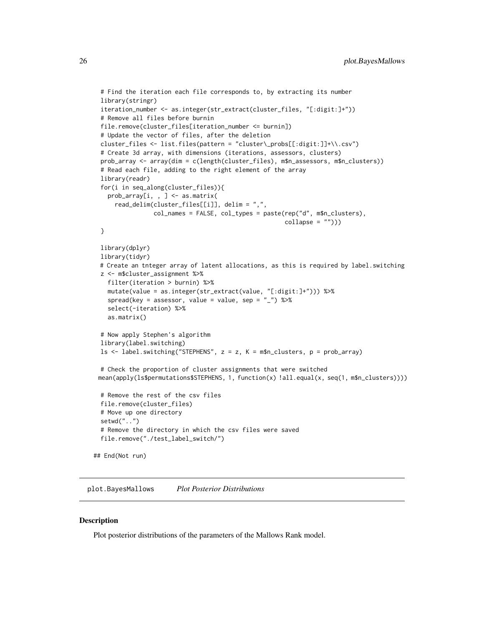```
# Find the iteration each file corresponds to, by extracting its number
 library(stringr)
 iteration_number <- as.integer(str_extract(cluster_files, "[:digit:]+"))
 # Remove all files before burnin
 file.remove(cluster_files[iteration_number <= burnin])
 # Update the vector of files, after the deletion
 cluster_files <- list.files(pattern = "cluster\_probs[[:digit:]]+\\.csv")
 # Create 3d array, with dimensions (iterations, assessors, clusters)
 prob_array <- array(dim = c(length(cluster_files), m$n_assessors, m$n_clusters))
 # Read each file, adding to the right element of the array
 library(readr)
 for(i in seq_along(cluster_files)){
   prob_array[i, , ] <- as.matrix(
     read_delim(cluster_files[[i]], delim = ",",
                col_names = FALSE, col_types = paste(rep("d", m$n_clusters),
                                                      collapse = ""))
 }
 library(dplyr)
 library(tidyr)
 # Create an tnteger array of latent allocations, as this is required by label.switching
 z <- m$cluster_assignment %>%
   filter(iteration > burnin) %>%
   mutate(value = as.integer(str_extract(value, "[:digit:]+"))) %>%
   spread(key = assessor, value = value, sep = "_") %>%
   select(-iteration) %>%
   as.matrix()
 # Now apply Stephen's algorithm
 library(label.switching)
 ls \leftarrow label.swing("STEPHENS", z = z, K = m$n_clusters, p = prob.array)# Check the proportion of cluster assignments that were switched
 mean(apply(ls$permutations$STEPHENS, 1, function(x) !all.equal(x, seq(1, m$n_clusters))))
 # Remove the rest of the csv files
 file.remove(cluster_files)
 # Move up one directory
 setwd("..")
 # Remove the directory in which the csv files were saved
 file.remove("./test_label_switch/")
## End(Not run)
```
<span id="page-25-1"></span>plot.BayesMallows *Plot Posterior Distributions*

#### Description

Plot posterior distributions of the parameters of the Mallows Rank model.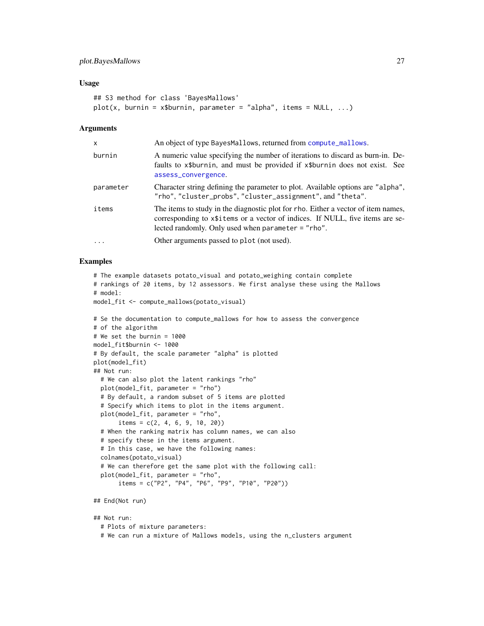### <span id="page-26-0"></span>plot.BayesMallows 27

#### Usage

```
## S3 method for class 'BayesMallows'
plot(x, burnin = x$burnin, parameter = "alpha", items = NULL, ...)
```
#### Arguments

| x         | An object of type BayesMallows, returned from compute_mallows.                                                                                                                                                               |
|-----------|------------------------------------------------------------------------------------------------------------------------------------------------------------------------------------------------------------------------------|
| burnin    | A numeric value specifying the number of iterations to discard as burn-in. De-<br>faults to x\$burnin, and must be provided if x\$burnin does not exist. See<br>assess_convergence.                                          |
| parameter | Character string defining the parameter to plot. Available options are "alpha",<br>"rho", "cluster_probs", "cluster_assignment", and "theta".                                                                                |
| items     | The items to study in the diagnostic plot for rho. Either a vector of item names,<br>corresponding to x\\$1.1 tems or a vector of indices. If NULL, five items are se-<br>lected randomly. Only used when parameter = "rho". |
| $\ddots$  | Other arguments passed to plot (not used).                                                                                                                                                                                   |
|           |                                                                                                                                                                                                                              |

#### Examples

```
# The example datasets potato_visual and potato_weighing contain complete
# rankings of 20 items, by 12 assessors. We first analyse these using the Mallows
# model:
model_fit <- compute_mallows(potato_visual)
```

```
# Se the documentation to compute_mallows for how to assess the convergence
# of the algorithm
# We set the burnin = 1000
model_fit$burnin <- 1000
# By default, the scale parameter "alpha" is plotted
plot(model_fit)
## Not run:
  # We can also plot the latent rankings "rho"
  plot(model_fit, parameter = "rho")
  # By default, a random subset of 5 items are plotted
  # Specify which items to plot in the items argument.
  plot(model_fit, parameter = "rho",
       items = c(2, 4, 6, 9, 10, 20)# When the ranking matrix has column names, we can also
  # specify these in the items argument.
  # In this case, we have the following names:
  colnames(potato_visual)
  # We can therefore get the same plot with the following call:
  plot(model_fit, parameter = "rho",
       items = c("P2", "P4", "P6", "P9", "P10", "P20"))
## End(Not run)
```
## Not run: # Plots of mixture parameters: # We can run a mixture of Mallows models, using the n\_clusters argument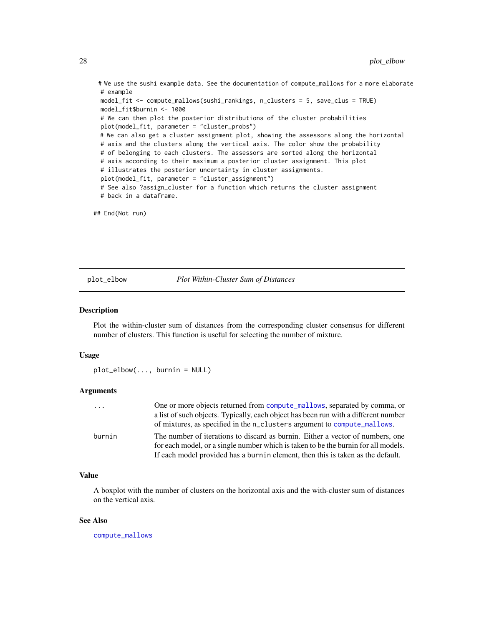# We use the sushi example data. See the documentation of compute\_mallows for a more elaborate # example

```
model_fit <- compute_mallows(sushi_rankings, n_clusters = 5, save_clus = TRUE)
model_fit$burnin <- 1000
# We can then plot the posterior distributions of the cluster probabilities
plot(model_fit, parameter = "cluster_probs")
# We can also get a cluster assignment plot, showing the assessors along the horizontal
# axis and the clusters along the vertical axis. The color show the probability
# of belonging to each clusters. The assessors are sorted along the horizontal
# axis according to their maximum a posterior cluster assignment. This plot
# illustrates the posterior uncertainty in cluster assignments.
plot(model_fit, parameter = "cluster_assignment")
# See also ?assign_cluster for a function which returns the cluster assignment
# back in a dataframe.
```
## End(Not run)

<span id="page-27-1"></span>plot\_elbow *Plot Within-Cluster Sum of Distances*

#### **Description**

Plot the within-cluster sum of distances from the corresponding cluster consensus for different number of clusters. This function is useful for selecting the number of mixture.

#### Usage

```
plot_elbow(..., burnin = NULL)
```
### Arguments

| $\cdots$ | One or more objects returned from compute_mallows, separated by comma, or           |
|----------|-------------------------------------------------------------------------------------|
|          | a list of such objects. Typically, each object has been run with a different number |
|          | of mixtures, as specified in the n_clusters argument to compute_mallows.            |
| burnin   | The number of iterations to discard as burnin. Either a vector of numbers, one      |
|          | for each model, or a single number which is taken to be the burnin for all models.  |
|          | If each model provided has a burnin element, then this is taken as the default.     |

### Value

A boxplot with the number of clusters on the horizontal axis and the with-cluster sum of distances on the vertical axis.

#### See Also

[compute\\_mallows](#page-7-1)

<span id="page-27-0"></span>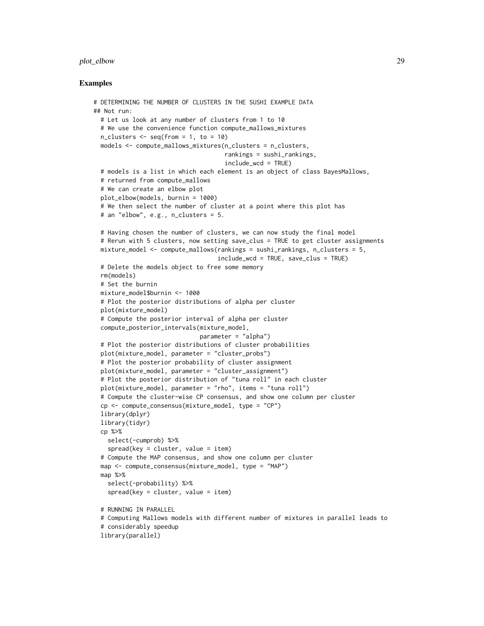### plot\_elbow 29

```
# DETERMINING THE NUMBER OF CLUSTERS IN THE SUSHI EXAMPLE DATA
## Not run:
 # Let us look at any number of clusters from 1 to 10
 # We use the convenience function compute_mallows_mixtures
 n_{\text{clusters}} \leftarrow \text{seq}(\text{from} = 1, \text{to} = 10)models <- compute_mallows_mixtures(n_clusters = n_clusters,
                                     rankings = sushi_rankings,
                                     include_wcd = TRUE)
 # models is a list in which each element is an object of class BayesMallows,
 # returned from compute_mallows
 # We can create an elbow plot
 plot_elbow(models, burnin = 1000)
 # We then select the number of cluster at a point where this plot has
 # an "elbow", e.g., n_clusters = 5.
 # Having chosen the number of clusters, we can now study the final model
 # Rerun with 5 clusters, now setting save_clus = TRUE to get cluster assignments
 mixture_model <- compute_mallows(rankings = sushi_rankings, n_clusters = 5,
                                   include_wcd = TRUE, save_clus = TRUE)
 # Delete the models object to free some memory
 rm(models)
  # Set the burnin
 mixture_model$burnin <- 1000
 # Plot the posterior distributions of alpha per cluster
 plot(mixture_model)
 # Compute the posterior interval of alpha per cluster
 compute_posterior_intervals(mixture_model,
                              parameter = "alpha")
 # Plot the posterior distributions of cluster probabilities
 plot(mixture_model, parameter = "cluster_probs")
 # Plot the posterior probability of cluster assignment
 plot(mixture_model, parameter = "cluster_assignment")
 # Plot the posterior distribution of "tuna roll" in each cluster
 plot(mixture_model, parameter = "rho", items = "tuna roll")
 # Compute the cluster-wise CP consensus, and show one column per cluster
 cp <- compute_consensus(mixture_model, type = "CP")
 library(dplyr)
 library(tidyr)
 cp %>%
   select(-cumprob) %>%
    spread(key = cluster, value = item)# Compute the MAP consensus, and show one column per cluster
 map <- compute_consensus(mixture_model, type = "MAP")
 map %>%
    select(-probability) %>%
    spread(key = cluster, value = item)# RUNNING IN PARALLEL
 # Computing Mallows models with different number of mixtures in parallel leads to
 # considerably speedup
 library(parallel)
```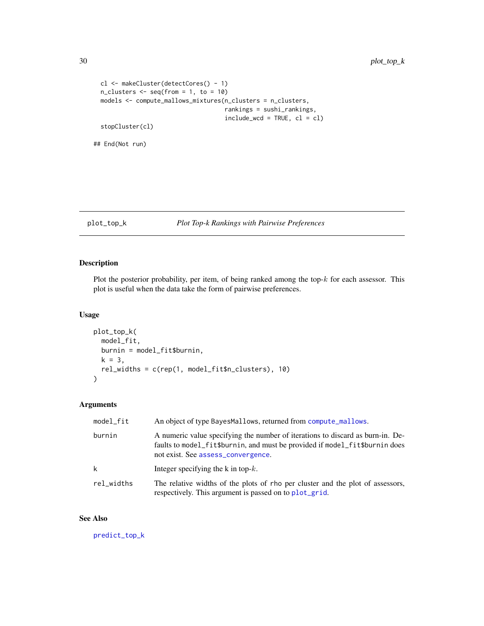```
cl <- makeCluster(detectCores() - 1)
  n_{\text{clusters}} \leftarrow \text{seq}(\text{from} = 1, \text{to} = 10)models <- compute_mallows_mixtures(n_clusters = n_clusters,
                                           rankings = sushi_rankings,
                                           include\_wcd = TRUE, cl = clstopCluster(cl)
## End(Not run)
```
#### <span id="page-29-1"></span>plot\_top\_k *Plot Top-k Rankings with Pairwise Preferences*

### Description

Plot the posterior probability, per item, of being ranked among the top- $k$  for each assessor. This plot is useful when the data take the form of pairwise preferences.

#### Usage

```
plot_top_k(
 model_fit,
 burnin = model_fit$burnin,
 k = 3,
  rel_widths = c(rep(1, model_fit$n_clusters), 10)
)
```
### Arguments

| model_fit  | An object of type BayesMallows, returned from compute_mallows.                                                                                                                                      |
|------------|-----------------------------------------------------------------------------------------------------------------------------------------------------------------------------------------------------|
| burnin     | A numeric value specifying the number of iterations to discard as burn-in. De-<br>faults to model_fit\$burnin, and must be provided if model_fit\$burnin does<br>not exist. See assess_convergence. |
| k          | Integer specifying the k in top- $k$ .                                                                                                                                                              |
| rel_widths | The relative widths of the plots of rho per cluster and the plot of assessors,<br>respectively. This argument is passed on to plot_grid.                                                            |

#### See Also

[predict\\_top\\_k](#page-32-1)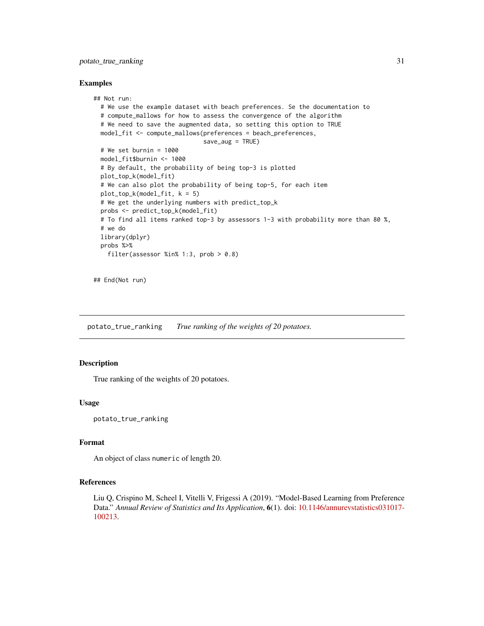### <span id="page-30-0"></span>potato\_true\_ranking 31

#### Examples

```
## Not run:
 # We use the example dataset with beach preferences. Se the documentation to
 # compute_mallows for how to assess the convergence of the algorithm
 # We need to save the augmented data, so setting this option to TRUE
 model_fit <- compute_mallows(preferences = beach_preferences,
                               save_aug = TRUE)
 # We set burnin = 1000
 model_fit$burnin <- 1000
 # By default, the probability of being top-3 is plotted
 plot_top_k(model_fit)
 # We can also plot the probability of being top-5, for each item
 plot\_top_k(model_fit, k = 5)# We get the underlying numbers with predict_top_k
 probs <- predict_top_k(model_fit)
 # To find all items ranked top-3 by assessors 1-3 with probability more than 80 %,
 # we do
 library(dplyr)
 probs %>%
    filter(assessor %in% 1:3, prob > 0.8)
```
## End(Not run)

potato\_true\_ranking *True ranking of the weights of 20 potatoes.*

### Description

True ranking of the weights of 20 potatoes.

#### Usage

potato\_true\_ranking

### Format

An object of class numeric of length 20.

### References

Liu Q, Crispino M, Scheel I, Vitelli V, Frigessi A (2019). "Model-Based Learning from Preference Data." *Annual Review of Statistics and Its Application*, 6(1). doi: [10.1146/annurevstatistics031017-](https://doi.org/10.1146/annurev-statistics-031017-100213) [100213.](https://doi.org/10.1146/annurev-statistics-031017-100213)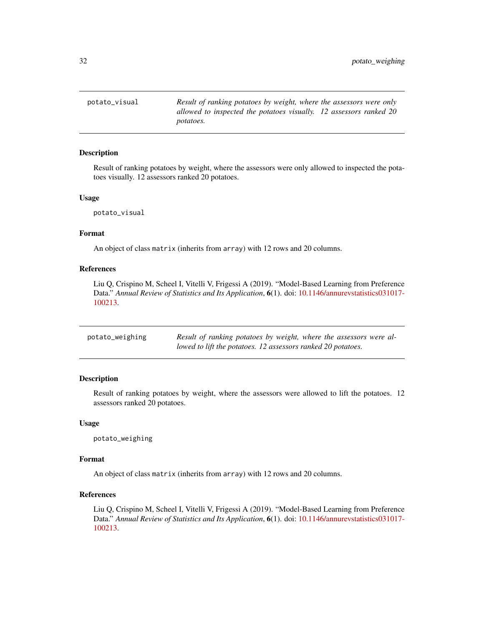<span id="page-31-0"></span>potato\_visual *Result of ranking potatoes by weight, where the assessors were only allowed to inspected the potatoes visually. 12 assessors ranked 20 potatoes.*

### Description

Result of ranking potatoes by weight, where the assessors were only allowed to inspected the potatoes visually. 12 assessors ranked 20 potatoes.

#### Usage

potato\_visual

#### Format

An object of class matrix (inherits from array) with 12 rows and 20 columns.

#### References

Liu Q, Crispino M, Scheel I, Vitelli V, Frigessi A (2019). "Model-Based Learning from Preference Data." *Annual Review of Statistics and Its Application*, 6(1). doi: [10.1146/annurevstatistics031017-](https://doi.org/10.1146/annurev-statistics-031017-100213) [100213.](https://doi.org/10.1146/annurev-statistics-031017-100213)

| potato_weighing | Result of ranking potatoes by weight, where the assessors were al- |
|-----------------|--------------------------------------------------------------------|
|                 | lowed to lift the potatoes. 12 assessors ranked 20 potatoes.       |

#### Description

Result of ranking potatoes by weight, where the assessors were allowed to lift the potatoes. 12 assessors ranked 20 potatoes.

#### Usage

potato\_weighing

#### Format

An object of class matrix (inherits from array) with 12 rows and 20 columns.

### References

Liu Q, Crispino M, Scheel I, Vitelli V, Frigessi A (2019). "Model-Based Learning from Preference Data." *Annual Review of Statistics and Its Application*, 6(1). doi: [10.1146/annurevstatistics031017-](https://doi.org/10.1146/annurev-statistics-031017-100213) [100213.](https://doi.org/10.1146/annurev-statistics-031017-100213)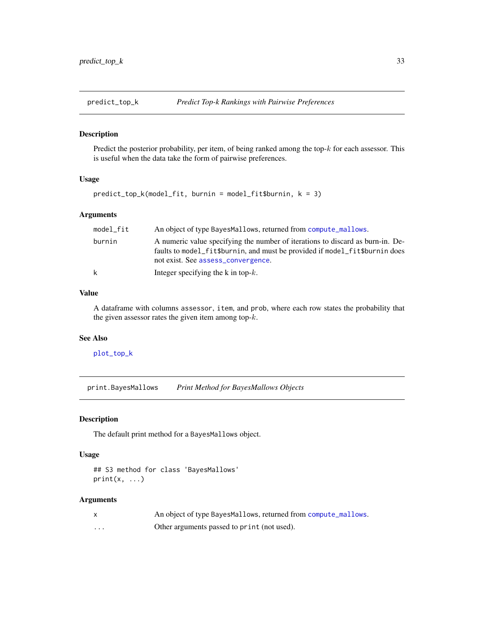<span id="page-32-1"></span><span id="page-32-0"></span>

#### Description

Predict the posterior probability, per item, of being ranked among the top- $k$  for each assessor. This is useful when the data take the form of pairwise preferences.

### Usage

```
predict_top_k(model_fit, burnin = model_fit$burnin, k = 3)
```
### Arguments

| model fit | An object of type BayesMallows, returned from compute_mallows.                                                                                                                                      |
|-----------|-----------------------------------------------------------------------------------------------------------------------------------------------------------------------------------------------------|
| burnin    | A numeric value specifying the number of iterations to discard as burn-in. De-<br>faults to model_fit\$burnin, and must be provided if model_fit\$burnin does<br>not exist. See assess_convergence. |
| k         | Integer specifying the k in top- $k$ .                                                                                                                                                              |

#### Value

A dataframe with columns assessor, item, and prob, where each row states the probability that the given assessor rates the given item among top- $k$ .

### See Also

[plot\\_top\\_k](#page-29-1)

print.BayesMallows *Print Method for BayesMallows Objects*

#### Description

The default print method for a BayesMallows object.

### Usage

```
## S3 method for class 'BayesMallows'
print(x, \ldots)
```
### Arguments

|   | An object of type BayesMallows, returned from compute_mallows. |
|---|----------------------------------------------------------------|
| . | Other arguments passed to print (not used).                    |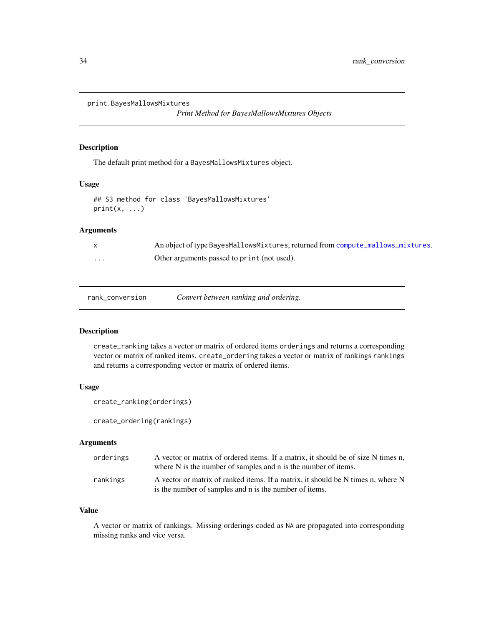```
print.BayesMallowsMixtures
```
*Print Method for BayesMallowsMixtures Objects*

#### Description

The default print method for a BayesMallowsMixtures object.

#### Usage

```
## S3 method for class 'BayesMallowsMixtures'
print(x, \ldots)
```
### Arguments

|         | An object of type BayesMallowsMixtures, returned from compute_mallows_mixtures. |
|---------|---------------------------------------------------------------------------------|
| $\cdot$ | Other arguments passed to print (not used).                                     |

#### <span id="page-33-1"></span>Description

create\_ranking takes a vector or matrix of ordered items orderings and returns a corresponding vector or matrix of ranked items. create\_ordering takes a vector or matrix of rankings rankings and returns a corresponding vector or matrix of ordered items.

### Usage

```
create_ranking(orderings)
```
create\_ordering(rankings)

### Arguments

| orderings | A vector or matrix of ordered items. If a matrix, it should be of size N times n,<br>where N is the number of samples and n is the number of items. |
|-----------|-----------------------------------------------------------------------------------------------------------------------------------------------------|
| rankings  | A vector or matrix of ranked items. If a matrix, it should be N times n, where N<br>is the number of samples and n is the number of items.          |

#### Value

A vector or matrix of rankings. Missing orderings coded as NA are propagated into corresponding missing ranks and vice versa.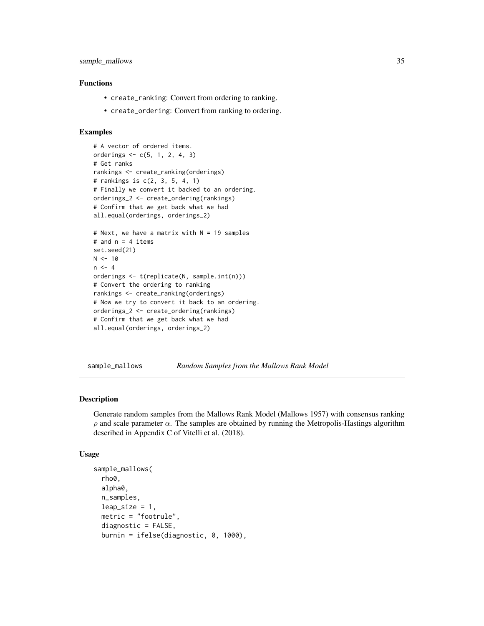### <span id="page-34-0"></span>sample\_mallows 35

### Functions

- create\_ranking: Convert from ordering to ranking.
- create\_ordering: Convert from ranking to ordering.

#### Examples

```
# A vector of ordered items.
orderings <- c(5, 1, 2, 4, 3)
# Get ranks
rankings <- create_ranking(orderings)
# rankings is c(2, 3, 5, 4, 1)
# Finally we convert it backed to an ordering.
orderings_2 <- create_ordering(rankings)
# Confirm that we get back what we had
all.equal(orderings, orderings_2)
# Next, we have a matrix with N = 19 samples
# and n = 4 items
set.seed(21)
N < -10n < -4orderings <- t(replicate(N, sample.int(n)))
# Convert the ordering to ranking
rankings <- create_ranking(orderings)
# Now we try to convert it back to an ordering.
orderings_2 <- create_ordering(rankings)
# Confirm that we get back what we had
all.equal(orderings, orderings_2)
```
sample\_mallows *Random Samples from the Mallows Rank Model*

### **Description**

Generate random samples from the Mallows Rank Model (Mallows 1957) with consensus ranking  $\rho$  and scale parameter  $\alpha$ . The samples are obtained by running the Metropolis-Hastings algorithm described in Appendix C of Vitelli et al. (2018).

#### Usage

```
sample_mallows(
 rho0,
 alpha0,
 n_samples,
 leap_size = 1,
 metric = "footrule",
 diagnostic = FALSE,
 burnin = ifelse(diagnostic, 0, 1000),
```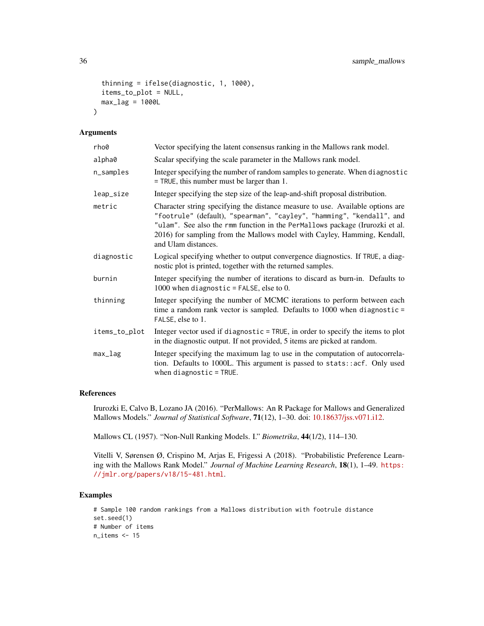```
thinning = ifelse(diagnostic, 1, 1000),
items_to_plot = NULL,
max\_lag = 1000L
```
#### Arguments

 $\lambda$ 

| rho0          | Vector specifying the latent consensus ranking in the Mallows rank model.                                                                                                                                                                                                                                                                  |
|---------------|--------------------------------------------------------------------------------------------------------------------------------------------------------------------------------------------------------------------------------------------------------------------------------------------------------------------------------------------|
| alpha0        | Scalar specifying the scale parameter in the Mallows rank model.                                                                                                                                                                                                                                                                           |
| n_samples     | Integer specifying the number of random samples to generate. When diagnostic<br>$=$ TRUE, this number must be larger than 1.                                                                                                                                                                                                               |
| leap_size     | Integer specifying the step size of the leap-and-shift proposal distribution.                                                                                                                                                                                                                                                              |
| metric        | Character string specifying the distance measure to use. Available options are<br>"footrule" (default), "spearman", "cayley", "hamming", "kendall", and<br>"ulam". See also the rmm function in the PerMallows package (Irurozki et al.<br>2016) for sampling from the Mallows model with Cayley, Hamming, Kendall,<br>and Ulam distances. |
| diagnostic    | Logical specifying whether to output convergence diagnostics. If TRUE, a diag-<br>nostic plot is printed, together with the returned samples.                                                                                                                                                                                              |
| burnin        | Integer specifying the number of iterations to discard as burn-in. Defaults to<br>1000 when diagnostic = FALSE, else to 0.                                                                                                                                                                                                                 |
| thinning      | Integer specifying the number of MCMC iterations to perform between each<br>time a random rank vector is sampled. Defaults to $1000$ when diagnostic =<br>FALSE, else to 1.                                                                                                                                                                |
| items_to_plot | Integer vector used if diagnostic = TRUE, in order to specify the items to plot<br>in the diagnostic output. If not provided, 5 items are picked at random.                                                                                                                                                                                |
| max_lag       | Integer specifying the maximum lag to use in the computation of autocorrela-<br>tion. Defaults to 1000L. This argument is passed to stats::acf. Only used<br>when $diagnostic = TRUE$ .                                                                                                                                                    |

### References

Irurozki E, Calvo B, Lozano JA (2016). "PerMallows: An R Package for Mallows and Generalized Mallows Models." *Journal of Statistical Software*, 71(12), 1–30. doi: [10.18637/jss.v071.i12.](https://doi.org/10.18637/jss.v071.i12)

Mallows CL (1957). "Non-Null Ranking Models. I." *Biometrika*, 44(1/2), 114–130.

Vitelli V, Sørensen Ø, Crispino M, Arjas E, Frigessi A (2018). "Probabilistic Preference Learning with the Mallows Rank Model." *Journal of Machine Learning Research*, 18(1), 1–49. [https:](https://jmlr.org/papers/v18/15-481.html) [//jmlr.org/papers/v18/15-481.html](https://jmlr.org/papers/v18/15-481.html).

```
# Sample 100 random rankings from a Mallows distribution with footrule distance
set.seed(1)
# Number of items
n_items <- 15
```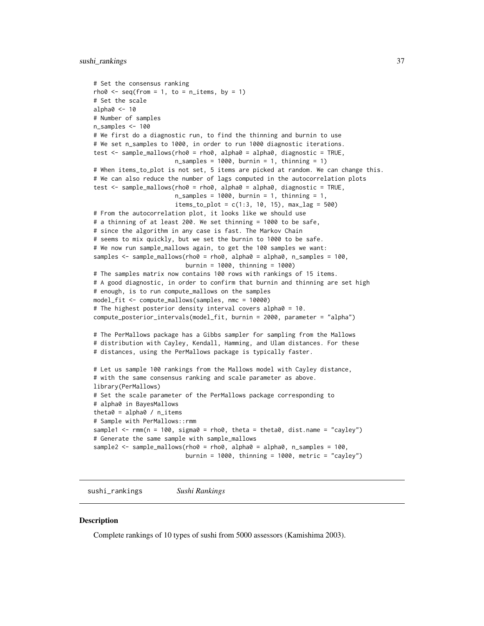```
# Set the consensus ranking
rho0 \leq -\text{seq}(\text{from} = 1, \text{to} = \text{n}_\text{times}, \text{by} = 1)# Set the scale
alpha0 < -10# Number of samples
n_samples <- 100
# We first do a diagnostic run, to find the thinning and burnin to use
# We set n_samples to 1000, in order to run 1000 diagnostic iterations.
test \le sample_mallows(rho0 = rho0, alpha0 = alpha0, diagnostic = TRUE,
                       n_samples = 1000, burnin = 1, thinning = 1)
# When items_to_plot is not set, 5 items are picked at random. We can change this.
# We can also reduce the number of lags computed in the autocorrelation plots
test <- sample_mallows(rho0 = rho0, alpha0 = alpha0, diagnostic = TRUE,
                       n_samples = 1000, burnin = 1, thinning = 1,
                       items_to.plot = c(1:3, 10, 15), maxy2ag = 500# From the autocorrelation plot, it looks like we should use
# a thinning of at least 200. We set thinning = 1000 to be safe,
# since the algorithm in any case is fast. The Markov Chain
# seems to mix quickly, but we set the burnin to 1000 to be safe.
# We now run sample_mallows again, to get the 100 samples we want:
samples <- sample_mallows(rho0 = rho0, alpha0 = alpha0, n_samples = 100,
                          burnin = 1000, thinning = 1000)
# The samples matrix now contains 100 rows with rankings of 15 items.
# A good diagnostic, in order to confirm that burnin and thinning are set high
# enough, is to run compute_mallows on the samples
model_fit <- compute_mallows(samples, nmc = 10000)
# The highest posterior density interval covers alpha0 = 10.
compute_posterior_intervals(model_fit, burnin = 2000, parameter = "alpha")
# The PerMallows package has a Gibbs sampler for sampling from the Mallows
# distribution with Cayley, Kendall, Hamming, and Ulam distances. For these
# distances, using the PerMallows package is typically faster.
# Let us sample 100 rankings from the Mallows model with Cayley distance,
# with the same consensus ranking and scale parameter as above.
library(PerMallows)
# Set the scale parameter of the PerMallows package corresponding to
# alpha0 in BayesMallows
theta0 = \text{alpha0} / n_items
# Sample with PerMallows::rmm
sample1 \leq rmm(n = 100, sigma0 = rho0, theta = theta0, dist.name = "cayley")
# Generate the same sample with sample_mallows
sample2 <- sample_mallows(rho0 = rho0, alpha0 = alpha0, n_samples = 100,
                          burnin = 1000, thinning = 1000, metric = "cayley")
```
sushi\_rankings *Sushi Rankings*

#### **Description**

Complete rankings of 10 types of sushi from 5000 assessors (Kamishima 2003).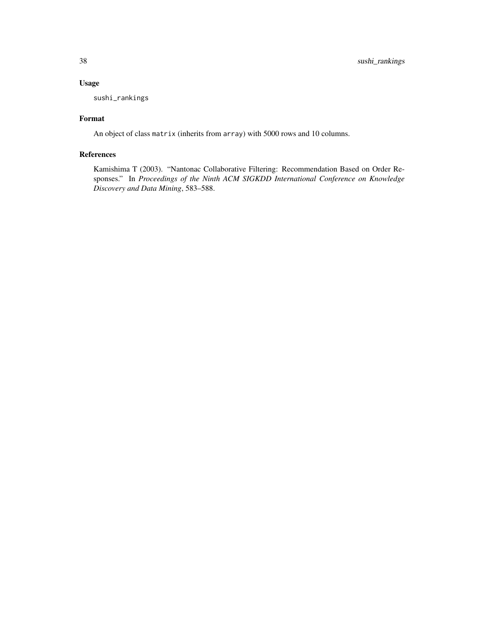### Usage

sushi\_rankings

### Format

An object of class matrix (inherits from array) with 5000 rows and 10 columns.

### References

Kamishima T (2003). "Nantonac Collaborative Filtering: Recommendation Based on Order Responses." In *Proceedings of the Ninth ACM SIGKDD International Conference on Knowledge Discovery and Data Mining*, 583–588.